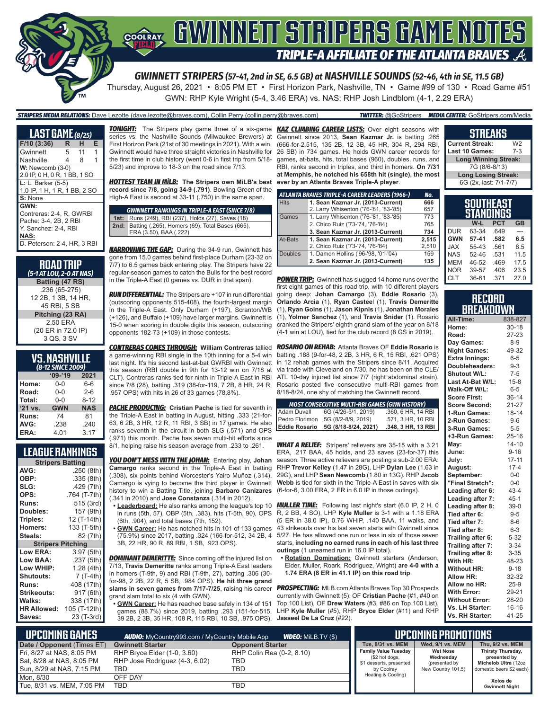

*GWINNETT STRIPERS (57-41, 2nd in SE, 6.5 GB) at NASHVILLE SOUNDS (52-46, 4th in SE, 11.5 GB)*

Thursday, August 26, 2021 • 8:05 PM ET • First Horizon Park, Nashville, TN • Game #99 of 130 • Road Game #51 GWN: RHP Kyle Wright (5-4, 3.46 ERA) vs. NAS: RHP Josh Lindblom (4-1, 2.29 ERA)

#### *STRIPERS MEDIA RELATIONS:* Dave Lezotte (dave.lezotte@braves.com), Collin Perry (collin.perry@braves.com) *TWITTER:* @GoStripers *MEDIA CENTER:* GoStripers.com/Media

| <b>LAST GAME</b> (8/25)                                                                                                  |   |    |   |  |  |  |  |
|--------------------------------------------------------------------------------------------------------------------------|---|----|---|--|--|--|--|
| F/10(3:36)                                                                                                               | R | н  | Е |  |  |  |  |
| Gwinnett                                                                                                                 | 5 | 11 | 1 |  |  |  |  |
| Nashville                                                                                                                | 4 | 8  | 1 |  |  |  |  |
| W: Newcomb (3-0)<br>2.0 IP, 0 H, 0 R, 1 BB, 1 SO                                                                         |   |    |   |  |  |  |  |
| L: L. Barker (5-5)<br>1.0 IP, 1 H, 1 R, 1 BB, 2 SO<br>S: None                                                            |   |    |   |  |  |  |  |
| GWN:<br>Contreras: 2-4, R. GWRBI<br>Pache: 3-4, 2B, 2 RBI<br>Y. Sanchez: 2-4. RBI<br>NAS:<br>D. Peterson: 2-4, HR, 3 RBI |   |    |   |  |  |  |  |

**RoAD TRIP** *(5-1 AT LOU, 2-0 AT NAS)* **Batting (47 RS)** .236 (65-275) 12 2B, 1 3B, 14 HR, 45 RBI, 5 SB **Pitching (23 RA)** 2.50 ERA (20 ER in 72.0 IP) 3 QS, 3 SV

| <b>VS. NASHVILLE</b> |  |  |  |  |
|----------------------|--|--|--|--|
| (8-12 SINCE 2009)    |  |  |  |  |
|                      |  |  |  |  |

| $09 - 19$  | 2021       |
|------------|------------|
| 0-0        | 6-6        |
| $0 - 0$    | $2 - 6$    |
| $0 - 0$    | $8 - 12$   |
| <b>GWN</b> | <b>NAS</b> |
| 74         | 81         |
| .238       | .240       |
|            | 3.17       |
|            | 4.01       |

### **LEAGUE RANKINGS**

| <b>Stripers Batting</b>  |                            |  |  |  |  |  |
|--------------------------|----------------------------|--|--|--|--|--|
| AVG:                     | .250 (8th)                 |  |  |  |  |  |
| OBP:                     | .335(8th)                  |  |  |  |  |  |
| SLG:                     | .429 (7th)                 |  |  |  |  |  |
| OPS:                     | .764 (T-7th)               |  |  |  |  |  |
| <b>Runs:</b>             | 515 (3rd)                  |  |  |  |  |  |
| Doubles:                 | 157 (9th)                  |  |  |  |  |  |
| Triples:                 | 12 (T-14th)                |  |  |  |  |  |
| <b>Homers:</b>           | 133 (T-5th)                |  |  |  |  |  |
| Steals:                  | 82 (7th)                   |  |  |  |  |  |
| <b>Stripers Pitching</b> |                            |  |  |  |  |  |
| <b>Low ERA:</b>          | 3.97(5th)                  |  |  |  |  |  |
|                          |                            |  |  |  |  |  |
| Low BAA:                 |                            |  |  |  |  |  |
| Low WHIP:                | 1.28 (4th)                 |  |  |  |  |  |
| <b>Shutouts:</b>         | 7 (T-4th)                  |  |  |  |  |  |
| Runs:                    | 408 (17th)                 |  |  |  |  |  |
| <b>Strikeouts:</b>       | 917 (6th)                  |  |  |  |  |  |
| Walks:                   | 338 (17th)                 |  |  |  |  |  |
| <b>HR Allowed:</b>       | .237 (5th)<br>105 (T-12th) |  |  |  |  |  |

series vs. the Nashville Sounds (Milwaukee Brewers) at First Horizon Park (21st of 30 meetings in 2021). With a win, Gwinnett would have three straight victories in Nashville for the first time in club history (went 0-6 in first trip from 5/18- 5/23) and improve to 18-3 on the road since 7/13.

*HOTTEST TEAM IN MiLB:* **The Stripers own MiLB's best record since 7/8, going 34-9 (.791)**. Bowling Green of the High-A East is second at 33-11 (.750) in the same span.

#### *GWINNETT RANKINGS IN TRIPLE-A EAST (SINCE 7/8)* **1st:** Runs (249), RBI (237), Holds (27), Saves (18) **2nd:** Batting (.265), Homers (69), Total Bases (665), ERA (3.50), BAA (.222)

*NARROWING THE GAP:* During the 34-9 run, Gwinnett has gone from 15.0 games behind first-place Durham (23-32 on 7/7) to 6.5 games back entering play. The Stripers have 22 regular-season games to catch the Bulls for the best record in the Triple-A East (0 games vs. DUR in that span).

*RUN DIFFERENTIAL:* The Stripers are +107 in run differential (outscoring opponents 515-408), the fourth-largest margin in the Triple-A East. Only Durham (+197), Scranton/WB (+126), and Buffalo (+109) have larger margins. Gwinnett is 15-0 when scoring in double digits this season, outscoring opponents 182-73 (+109) in those contests.

*CONTRERAS COMES THROUGH:* **William Contreras** tallied a game-winning RBI single in the 10th inning for a 5-4 win last night. It's his second last-at-bat GWRBI with Gwinnett this season (RBI double in 9th for 13-12 win on 7/18 at CLT). Contreras ranks tied for ninth in Triple-A East in RBI ATL 10-day injured list since 7/7 (right abdominal strain). since 7/8 (28), batting .319 (38-for-119, 7 2B, 8 HR, 24 R, .957 OPS) with hits in 26 of 33 games (78.8%).

**PACHE PRODUCING:** Cristian Pache is tied for seventh in the Triple-A East in batting in August, hitting .333 (21-for-63, 6 2B, 3 HR, 12 R, 11 RBI, 3 SB) in 17 games. He also ranks seventh in the circuit in both SLG (.571) and OPS (.971) this month. Pache has seven multi-hit efforts since 8/1, helping raise his season average from .233 to .261.

*YOU DON'T MESS WITH THE JOHAN:* Entering play, **Johan Camargo** ranks second in the Triple-A East in batting (.308), six points behind Worcester's Yairo Muñoz (.314). Camargo is vying to become the third player in Gwinnett history to win a Batting Title, joining **Barbaro Canizares** (6-for-6, 3.00 ERA, 2 ER in 6.0 IP in those outings). (.341 in 2010) and **Jose Constanza** (.314 in 2012).

- in runs (5th, 57), OBP (5th, .383), hits (T-5th, 90), OPS (6th, .904), and total bases (7th, 152).
- **• GWN Career:** He has notched hits in 101 of 133 games (75.9%) since 2017, batting .324 (166-for-512, 34 2B, 4 3B, 22 HR, 90 R, 89 RBI, 1 SB, .923 OPS).

**DOMINANT DEMERITTE:** Since coming off the injured list on 7/13, **Travis Demeritte** ranks among Triple-A East leaders in homers (T-9th, 9) and RBI (T-9th, 27), batting .306 (30 for-98, 2 2B, 22 R, 5 SB, .984 OPS). **He hit three grand slams in seven games from 7/17-7/25**, raising his career grand slam total to six (4 with GWN).

**• GWN Career:** He has reached base safely in 134 of 151 39 2B, 2 3B, 35 HR, 108 R, 115 RBI, 10 SB, .975 OPS). **Jasseel De La Cruz** (#22).

*TONIGHT:* The Stripers play game three of a six-game *KAZ CLIMBING CAREER LISTS:* Over eight seasons with Gwinnett since 2013, **Sean Kazmar Jr.** is batting .265 (666-for-2,515, 135 2B, 12 3B, 45 HR, 304 R, 294 RBI, 26 SB) in 734 games. He holds GWN career records for games, at-bats, hits, total bases (960), doubles, runs, and RBI, ranks second in triples, and third in homers. **On 7/31 at Memphis, he notched his 658th hit (single), the most ever by an Atlanta Braves Triple-A player**.

| ATLANTA BRAVES TRIPLE-A CAREER LEADERS (1966-) | No.   |
|------------------------------------------------|-------|
| 1. Sean Kazmar Jr. (2013-Current)              | 666   |
| 2. Larry Whisenton ('76-'81, '83-'85)          | 657   |
| 1. Larry Whisenton ('76-'81, '83-'85)          | 773   |
| 2. Chico Ruiz ('73-'74, '76-'84)               | 765   |
| 3. Sean Kazmar Jr. (2013-Current)              | 734   |
| 1. Sean Kazmar Jr. (2013-Current)              | 2.515 |
| 2. Chico Ruiz ('73-'74, '76-'84)               | 2,510 |
| 1. Damon Hollins ('96-'98, '01-'04)            | 159   |
| 2. Sean Kazmar Jr. (2013-Current)              | 135   |
|                                                |       |

**POWER TRIP:** Gwinnett has slugged 14 home runs over the first eight games of this road trip, with 10 different players going deep: **Johan Camargo** (3), **Eddie Rosario** (3), **Orlando Arcia** (1), **Ryan Castee**l (1), **Travis Demeritte** (1), **Ryan Goins** (1), **Jason Kipnis** (1), **Jonathan Morales** (1), **Yolmer Sanchez** (1), and **Travis Snider** (1). Rosario cranked the Stripers' eighth grand slam of the year on 8/18 (4-1 win at LOU), tied for the club record (8 GS in 2019).

*ROSARIO ON REHAB:* Atlanta Braves OF **Eddie Rosario** is batting .188 (9-for-48, 2 2B, 3 HR, 6 R, 15 RBI, .621 OPS) in 12 rehab games with the Stripers since 8/11. Acquired via trade with Cleveland on 7/30, he has been on the CLE/ Rosario posted five consecutive multi-RBI games from 8/18-8/24, one shy of matching the Gwinnett record.

|                      | <b>MOST CONSECUTIVE MULTI-RBI GAMES (GWN HISTORY)</b> |                    |
|----------------------|-------------------------------------------------------|--------------------|
| Adam Duvall          | 6G (4/26-5/1, 2019)                                   | .360, 6 HR, 14 RBI |
| Pedro Florimon       | 5G (8/2-8/9, 2019)                                    | .571, 3 HR, 10 RBI |
| <b>Eddie Rosario</b> | 5G (8/18-8/24, 2021)                                  | .348, 3 HR, 13 RBI |

*WHAT A RELIEF:* Stripers' relievers are 35-15 with a 3.21 ERA, .217 BAA, 45 holds, and 23 saves (23-for-37) this season. Three active relievers are posting a sub-2.00 ERA: RHP **Trevor Kelley** (1.47 in 28G), LHP **Dylan Lee** (1.63 in 29G), and LHP **Sean Newcomb** (1.80 in 13G). RHP **J**a**cob Webb** is tied for sixth in the Triple-A East in saves with six

**• Leaderboard:** He also ranks among the league's top 10 *MULLER TIME:* Following last night's start (6.0 IP, 2 H, 0 R, 2 BB, 4 SO), LHP **Kyle Muller** is 3-1 with a 1.18 ERA (5 ER in 38.0 IP), 0.76 WHIP, .140 BAA, 11 walks, and 43 strikeouts over his last seven starts with Gwinnett since 5/27. He has allowed one run or less in six of those seven starts, **including no earned runs in each of his last three outings** (1 unearned run in 16.0 IP total).

**• Rotation Domination:** Gwinnett starters (Anderson, Elder, Muller, Roark, Rodriguez, Wright) **are 4-0 with a 1.74 ERA (8 ER in 41.1 IP) on this road trip**.

games (88.7%) since 2019, batting .293 (151-for-515, LHP **Kyle Muller** (#5), RHP **Bryce Elder** (#11) and RHP *PROSPECTING:* MLB.com Atlanta Braves Top 30 Prospects currently with Gwinnett (5): OF **Cristian Pache** (#1, #40 on Top 100 List), OF **Drew Waters** (#3, #86 on Top 100 List),

#### **STREAKS Current Streak:** W2<br>Last 10 Games: 7-3

**Last 10 Games: Long Winning Streak:** 7G (8/6-8/13) **Long Losing Streak:** 6G (2x, last: 7/1-7/7)

| Southeast<br>STANDINGS |         |            |           |  |  |  |
|------------------------|---------|------------|-----------|--|--|--|
|                        | W-L     | <b>PCT</b> | <b>GB</b> |  |  |  |
| <b>DUR</b>             | 63-34   | .649       |           |  |  |  |
| <b>GWN</b>             | $57-41$ | .582       | 6.5       |  |  |  |
| <b>JAX</b>             | 55-43   | .561       | 8.5       |  |  |  |
| <b>NAS</b>             | 52-46   | .531       | 11.5      |  |  |  |
| <b>MEM</b>             | 46-52   | .469       | 17.5      |  |  |  |
| <b>NOR</b>             | 39-57   | .406       | 23.5      |  |  |  |
| <b>CLT</b>             | 36-61   | .371       | 27.0      |  |  |  |

#### **RECORD BREAKDOWN**

| All-Time:             | 838-827   |
|-----------------------|-----------|
| Home:                 | $30 - 18$ |
| Road:                 | 27-23     |
| Day Games:            | $8 - 9$   |
| <b>Night Games:</b>   | 49-32     |
| <b>Extra Innings:</b> | $6-5$     |
| Doubleheaders:        | $9 - 3$   |
| Shutout W/L:          | $7 - 5$   |
| Last At-Bat W/L:      | $15 - 8$  |
| Walk-Off W/L:         | $6 - 5$   |
| <b>Score First:</b>   | $36 - 14$ |
| <b>Score Second:</b>  | $21 - 27$ |
| 1-Run Games:          | 18-14     |
| 2-Run Games:          | $9 - 6$   |
| 3-Run Games:          | $5 - 5$   |
| +3-Run Games:         | $25 - 16$ |
| May:                  | $14 - 10$ |
| June:                 | $9 - 16$  |
| July:                 | $17 - 11$ |
| August:               | $17 - 4$  |
| September:            | $0-0$     |
| "Final Stretch":      | $0-0$     |
| Leading after 6:      | $43 - 4$  |
| Leading after 7:      | $45 - 1$  |
| Leading after 8:      | $39-0$    |
| Tied after 6:         | $9 - 5$   |
| Tied after 7:         | $8 - 6$   |
| Tied after 8:         | $6 - 3$   |
| Trailing after 6:     | $5 - 32$  |
| Trailing after 7:     | $3 - 34$  |
| Trailing after 8:     | $3 - 35$  |
| With HR:              | 48-23     |
| <b>Without HR:</b>    | $9 - 18$  |
| <b>Allow HR:</b>      | 32-32     |
| Allow no HR:          | 25-9      |
| <b>With Error:</b>    | 29-21     |
| <b>Without Error:</b> | 28-20     |
| Vs. LH Starter:       | $16 - 16$ |
| Vs. RH Starter:       | 41-25     |

| <b>UPCOMING GAMES</b><br><b>VIDEO:</b> MiLB.TV (\$)<br><b>AUDIO:</b> MyCountry993.com / MyCountry Mobile App |                                |                           |                                           | UPCOMING PROMOTIONS        |                                      |
|--------------------------------------------------------------------------------------------------------------|--------------------------------|---------------------------|-------------------------------------------|----------------------------|--------------------------------------|
| Date / Opponent (Times ET)                                                                                   | <b>Gwinnett Starter</b>        | <b>Opponent Starter</b>   | Tue, 8/31 vs. MEM                         | Wed, 9/1 vs. MEM           | Thu, 9/2 vs. MEM                     |
| Fri, 8/27 at NAS, 8:05 PM                                                                                    | RHP Bryce Elder (1-0, 3.60)    | RHP Colin Rea (0-2, 8.10) | <b>Family Value Tuesday</b>               | <b>Wet Nose</b>            | Thirsty Thursday,                    |
| Sat, 8/28 at NAS, 8:05 PM                                                                                    | RHP Jose Rodriguez (4-3, 6.02) | TBD                       | (\$2 hot dogs,<br>\$1 desserts, presented | Wednesdav<br>(presented by | presented by<br>Michelob Ultra (12oz |
| Sun, 8/29 at NAS, 7:15 PM                                                                                    | TBD                            | TBD                       | by Coolrav                                | New Country 101.5)         | domestic beers \$2 each)             |
| Mon. 8/30                                                                                                    | OFF DAY                        |                           | Heating & Cooling)                        |                            | Xolos de                             |
| Tue, 8/31 vs. MEM, 7:05 PM                                                                                   | <b>TBD</b>                     | TBD                       |                                           |                            | <b>Gwinnett Night</b>                |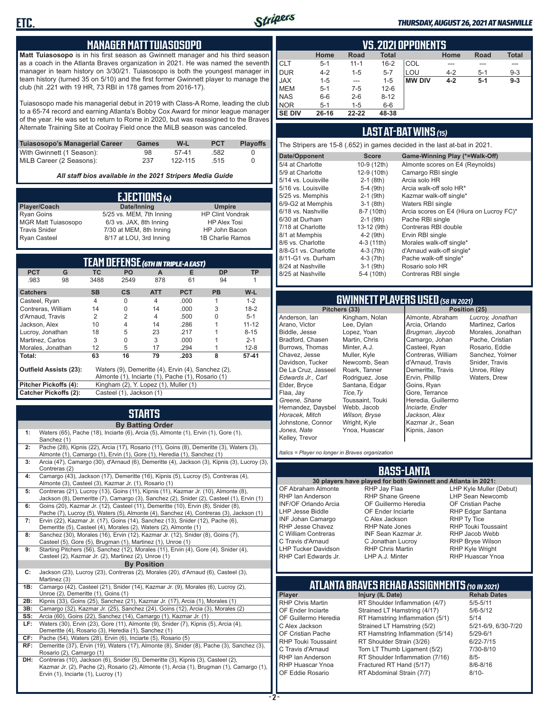

#### *THURSDAY, AUGUST 26, 2021 AT NASHVILLE*

#### **MANAGER MATT TUIASOSOPO**

**Matt Tuiasosopo** is in his first season as Gwinnett manager and his third season as a coach in the Atlanta Braves organization in 2021. He was named the seventh manager in team history on 3/30/21. Tuiasosopo is both the youngest manager in team history (turned 35 on 5/10) and the first former Gwinnett player to manage the club (hit .221 with 19 HR, 73 RBI in 178 games from 2016-17).

Tuiasosopo made his managerial debut in 2019 with Class-A Rome, leading the club to a 65-74 record and earning Atlanta's Bobby Cox Award for minor league manager of the year. He was set to return to Rome in 2020, but was reassigned to the Braves Alternate Training Site at Coolray Field once the MiLB season was canceled.

| Tuiasosopo's Managerial Career | Games | W-L     | <b>PCT</b> | <b>Plavoffs</b> |
|--------------------------------|-------|---------|------------|-----------------|
| With Gwinnett (1 Season):      | 98    | 57-41   | .582       |                 |
| MiLB Career (2 Seasons):       | 237   | 122-115 | .515       |                 |

*All staff bios available in the 2021 Stripers Media Guide*

| EJECTIONS (4)              |                          |                         |  |  |  |
|----------------------------|--------------------------|-------------------------|--|--|--|
| Player/Coach               | Date/Inning              | <b>Umpire</b>           |  |  |  |
| <b>Ryan Goins</b>          | 5/25 vs. MEM, 7th Inning | <b>HP Clint Vondrak</b> |  |  |  |
| <b>MGR Matt Tuiasosopo</b> | 6/3 vs. JAX, 8th Inning  | <b>HP Alex Tosi</b>     |  |  |  |
| <b>Travis Snider</b>       | 7/30 at MEM, 8th Inning  | HP John Bacon           |  |  |  |
| <b>Ryan Casteel</b>        | 8/17 at LOU, 3rd Inning  | 1B Charlie Ramos        |  |  |  |

| TEAM DEFENSE (GTH IN TRIPLE-A EAST)                                                 |                                                          |                |                                       |                |                                                   |           |           |
|-------------------------------------------------------------------------------------|----------------------------------------------------------|----------------|---------------------------------------|----------------|---------------------------------------------------|-----------|-----------|
| <b>PCT</b>                                                                          | G                                                        | ТC             | PO.                                   | A              | Е                                                 | <b>DP</b> | TP        |
| .983                                                                                | 98                                                       | 3488           | 2549                                  | 878            | 61                                                | 94        |           |
| <b>Catchers</b>                                                                     |                                                          | <b>SB</b>      | <b>CS</b>                             | <b>ATT</b>     | <b>PCT</b>                                        | <b>PB</b> | $W-L$     |
| Casteel, Ryan                                                                       |                                                          | $\overline{4}$ | $\Omega$                              | $\overline{4}$ | .000                                              | 1         | $1 - 2$   |
| Contreras, William                                                                  |                                                          | 14             | O                                     | 14             | .000                                              | 3         | $18 - 2$  |
| d'Arnaud, Travis                                                                    |                                                          | 2              | 2                                     | 4              | .500                                              |           | $5 - 1$   |
| Jackson, Alex                                                                       |                                                          | 10             | 4                                     | 14             | .286                                              |           | $11 - 12$ |
| Lucroy, Jonathan                                                                    |                                                          | 18             | 5                                     | 23             | .217                                              |           | $8 - 15$  |
| Martinez, Carlos                                                                    |                                                          | 3              | 0                                     | 3              | .000                                              |           | $2 - 1$   |
| Morales, Jonathan                                                                   |                                                          | 12             | 5                                     | 17             | .294                                              |           | $12 - 8$  |
| Total:                                                                              |                                                          | 63             | 16                                    | 79             | .203                                              | 8         | $57 - 41$ |
| <b>Outfield Assists (23):</b><br>Waters (9), Demeritte (4), Ervin (4), Sanchez (2), |                                                          |                |                                       |                |                                                   |           |           |
|                                                                                     |                                                          |                |                                       |                | Almonte (1), Inciarte (1), Pache (1), Rosario (1) |           |           |
| Pitcher Pickoffs (4):                                                               |                                                          |                | Kingham (2), Y. Lopez (1), Muller (1) |                |                                                   |           |           |
|                                                                                     | <b>Catcher Pickoffs (2):</b><br>Casteel (1), Jackson (1) |                |                                       |                |                                                   |           |           |

## **STARTS**

|     | <b>By Batting Order</b>                                                                                                                                                                                              |
|-----|----------------------------------------------------------------------------------------------------------------------------------------------------------------------------------------------------------------------|
| 1:  | Waters (65), Pache (18), Inciarte (6), Arcia (5), Almonte (1), Ervin (1), Gore (1),<br>Sanchez (1)                                                                                                                   |
| 2:  | Pache (28), Kipnis (22), Arcia (17), Rosario (11), Goins (8), Demeritte (3), Waters (3),<br>Almonte (1), Camargo (1), Ervin (1), Gore (1), Heredia (1), Sanchez (1)                                                  |
| 3:  | Arcia (47), Camargo (30), d'Arnaud (6), Demeritte (4), Jackson (3), Kipnis (3), Lucroy (3),<br>Contreras (2)                                                                                                         |
| 4:  | Camargo (43), Jackson (17), Demeritte (16), Kipnis (5), Lucroy (5), Contreras (4),<br>Almonte (3), Casteel (3), Kazmar Jr. (1), Rosario (1)                                                                          |
| 5:  | Contreras (21), Lucroy (13), Goins (11), Kipnis (11), Kazmar Jr. (10), Almonte (8),<br>Jackson (8), Demeritte (7), Camargo (3), Sanchez (2), Snider (2), Casteel (1), Ervin (1)                                      |
| 6:  | Goins (20), Kazmar Jr. (12), Casteel (11), Demeritte (10), Ervin (8), Snider (8),<br>Pache (7), Lucroy (5), Waters (5), Almonte (4), Sanchez (4), Contreras (3), Jackson (1)                                         |
| 7:  | Ervin (22), Kazmar Jr. (17), Goins (14), Sanchez (13), Snider (12), Pache (6),<br>Demeritte (5), Casteel (4), Morales (2), Waters (2), Almonte (1)                                                                   |
| 8:  | Sanchez (30), Morales (16), Ervin (12), Kazmar Jr. (12), Snider (8), Goins (7),<br>Casteel (5), Gore (5), Brugman (1), Martinez (1), Unroe (1)                                                                       |
| 9:  | Starting Pitchers (56), Sanchez (12), Morales (11), Ervin (4), Gore (4), Snider (4),<br>Casteel (2), Kazmar Jr. (2), Martinez (2), Unroe (1)                                                                         |
|     | <b>By Position</b>                                                                                                                                                                                                   |
| C:  | Jackson (23), Lucroy (23), Contreras (2), Morales (20), d'Arnaud (6), Casteel (3),<br>Martinez (3)                                                                                                                   |
| 1B: | Camargo (42), Casteel (21), Snider (14), Kazmar Jr. (9), Morales (6), Lucroy (2),<br>Unroe (2), Demeritte (1), Goins (1)                                                                                             |
| 2B: | Kipnis (33), Goins (25), Sanchez (21), Kazmar Jr. (17), Arcia (1), Morales (1)                                                                                                                                       |
| 3B: | Camargo (32), Kazmar Jr. (25), Sanchez (24), Goins (12), Arcia (3), Morales (2)                                                                                                                                      |
| SS: | Arcia (60), Goins (22), Sanchez (14), Camargo (1), Kazmar Jr. (1)                                                                                                                                                    |
| LF: | Waters (30), Ervin (23), Gore (11), Almonte (9), Snider (7), Kipnis (5), Arcia (4),<br>Demeritte (4), Rosario (3), Heredia (1), Sanchez (1)                                                                          |
| CF: | Pache (54), Waters (28), Ervin (6), Inciarte (5), Rosario (5)                                                                                                                                                        |
| RF: | Demeritte (37), Ervin (19), Waters (17), Almonte (8), Snider (8), Pache (3), Sanchez (3),<br>Rosario (2), Camargo (1)                                                                                                |
| DH: | Contreras (10), Jackson (6), Snider (5), Demeritte (3), Kipnis (3), Casteel (2),<br>Kazmar Jr. (2), Pache (2), Rosario (2), Almonte (1), Arcia (1), Brugman (1), Camargo (1),<br>Ervin (1), Inciarte (1), Lucroy (1) |

|               | VS. 2021 OPPONENTS |          |              |               |         |         |              |  |  |  |  |  |  |  |
|---------------|--------------------|----------|--------------|---------------|---------|---------|--------------|--|--|--|--|--|--|--|
|               | Home               | Road     | <b>Total</b> |               | Home    | Road    | <b>Total</b> |  |  |  |  |  |  |  |
| <b>CLT</b>    | $5 - 1$            | $11 - 1$ | $16 - 2$     | COL           | ---     |         | ---          |  |  |  |  |  |  |  |
| DUR           | $4 - 2$            | $1 - 5$  | $5 - 7$      | LOU           | $4 - 2$ | $5 - 1$ | $9 - 3$      |  |  |  |  |  |  |  |
| <b>JAX</b>    | $1 - 5$            | $- - -$  | $1 - 5$      | <b>MW DIV</b> | $4 - 2$ | $5-1$   | $9 - 3$      |  |  |  |  |  |  |  |
| <b>MEM</b>    | $5-1$              | $7-5$    | $12 - 6$     |               |         |         |              |  |  |  |  |  |  |  |
| <b>NAS</b>    | $6-6$              | $2 - 6$  | $8 - 12$     |               |         |         |              |  |  |  |  |  |  |  |
| <b>NOR</b>    | $5 - 1$            | $1 - 5$  | $6-6$        |               |         |         |              |  |  |  |  |  |  |  |
| <b>SE DIV</b> | $26 - 16$          | 22-22    | 48-38        |               |         |         |              |  |  |  |  |  |  |  |

#### **LAST AT-BAT WINS** *(15)*

The Stripers are 15-8 (.652) in games decided in the last at-bat in 2021.

| Date/Opponent        | <b>Score</b> | Game-Winning Play (*=Walk-Off)           |
|----------------------|--------------|------------------------------------------|
| 5/4 at Charlotte     | 10-9 (12th)  | Almonte scores on E4 (Reynolds)          |
| 5/9 at Charlotte     | 12-9 (10th)  | Camargo RBI single                       |
| 5/14 vs. Louisville  | $2-1$ (8th)  | Arcia solo HR                            |
| 5/16 vs. Louisville  | $5-4$ (9th)  | Arcia walk-off solo HR*                  |
| 5/25 vs. Memphis     | $2-1$ (9th)  | Kazmar walk-off single*                  |
| 6/9-G2 at Memphis    | $3-1$ (8th)  | Waters RBI single                        |
| 6/18 vs. Nashville   | 8-7 (10th)   | Arcia scores on E4 (Hiura on Lucroy FC)* |
| 6/30 at Durham       | $2-1$ (9th)  | Pache RBI single                         |
| 7/18 at Charlotte    | 13-12 (9th)  | Contreras RBI double                     |
| 8/1 at Memphis       | $4-2$ (9th)  | Ervin RBI single                         |
| 8/6 vs. Charlotte    | $4-3(11th)$  | Morales walk-off single*                 |
| 8/8-G1 vs. Charlotte | $4-3(7th)$   | d'Arnaud walk-off single*                |
| 8/11-G1 vs. Durham   | $4-3$ (7th)  | Pache walk-off single*                   |
| 8/24 at Nashville    | $3-1$ (9th)  | Rosario solo HR                          |
| 8/25 at Nashville    | 5-4 (10th)   | Contreras RBI single                     |
|                      |              |                                          |

## **GWINNETT PLAYERS USED** *(58 IN 2021)*

**Pitchers (33)** Anderson, Ian Arano, Victor Biddle, Jesse Bradford, Chasen Burrows, Thomas Chavez, Jesse Davidson, Tucker De La Cruz, Jasseel *Edwards Jr., Carl* Elder, Bryce Flaa, Jay *Greene, Shane*  Hernandez, Daysbel *Horacek, Mitch* Johnstone, Connor *Jones, Nate* Kelley, Trevor Kingham, Nolan Lee, Dylan Lopez, Yoan Martin, Chris Minter, A.J. Muller, Kyle Newcomb, Sean Roark, Tanner Rodriguez, Jose Santana, Edgar *Tice,Ty* Toussaint, Touki Webb, Jacob *Wilson, Bryse* Wright, Kyle Ynoa, Huascar

Almonte, Abraham Arcia, Orlando *Brugman, Jaycob* Camargo, Johan Casteel, Ryan Contreras, William d'Arnaud, Travis Demeritte, Travis Ervin, Phillip Goins, Ryan Gore, Terrance Heredia, Guillermo *Inciarte, Ender Jackson, Alex* Kazmar Jr., Sean Kipnis, Jason

*Lucroy, Jonathan* Martinez, Carlos Morales, Jonathan Pache, Cristian Rosario, Eddie Sanchez, Yolmer Snider, Travis Unroe, Riley Waters, Drew

*Italics = Player no longer in Braves organization*

#### **BASS-LANTA**

**30 players have played for both Gwinnett and Atlanta in 2021:** OF Abraham Almonte RHP Ian Anderson INF/OF Orlando Arcia LHP Jesse Biddle INF Johan Camargo RHP Jesse Chavez C William Contreras C Travis d'Arnaud LHP Tucker Davidson

RHP Jay Flaa RHP Shane Greene OF Guillermo Heredia OF Ender Inciarte C Alex Jackson RHP Nate Jones INF Sean Kazmar Jr. C Jonathan Lucroy RHP Chris Martin LHP A.J. Minter

LHP Kyle Muller (Debut) LHP Sean Newcomb OF Cristian Pache RHP Edgar Santana RHP Ty Tice RHP Touki Toussaint RHP Jacob Webb RHP Bryse Wilson RHP Kyle Wright RHP Huascar Ynoa

## **ATLANTA BRAVES REHAB ASSIGNMENTS** *(10 IN 2021)*

**Player Injury (IL Date)** RHP Huascar Ynoa Fractured RT Hand (5/17)<br>OF Eddie Rosario RT Abdominal Strain (7/7)

RHP Carl Edwards Jr.

RHP Chris Martin RT Shoulder Inflammation (4/7) 5/5-5/11<br>OF Ender Inciarte Strained LT Hamstring (4/17) 5/6-5/12 OF Ender Inciarte Strained LT Hamstring (4/17)<br>OF Guillermo Heredia RT Hamstring Inflammation (5) RT Hamstring Inflammation  $(5/1)$  5/14 C Alex Jackson Strained LT Hamstring (5/2) 5/21-6/9, 6/30-7/20 OF Cristian Pache RT Hamstring Inflammation (5/14) 5/29-6/1<br>RHP Touki Toussaint RT Shoulder Strain (3/26) 6/22-7/15 RHP Touki Toussaint RT Shoulder Strain (3/26) 6/22-7/15<br>C. Travis d'Arnaud C. Torn LT Thumb Ligament (5/2) 6/10-8/10 Torn LT Thumb Ligament (5/2) RHP Ian Anderson RT Shoulder Inflammation (7/16) 8/5-<br>RHP Huascar Ynoa Fractured RT Hand (5/17) 8/6-8/16 RT Abdominal Strain (7/7) 8/10-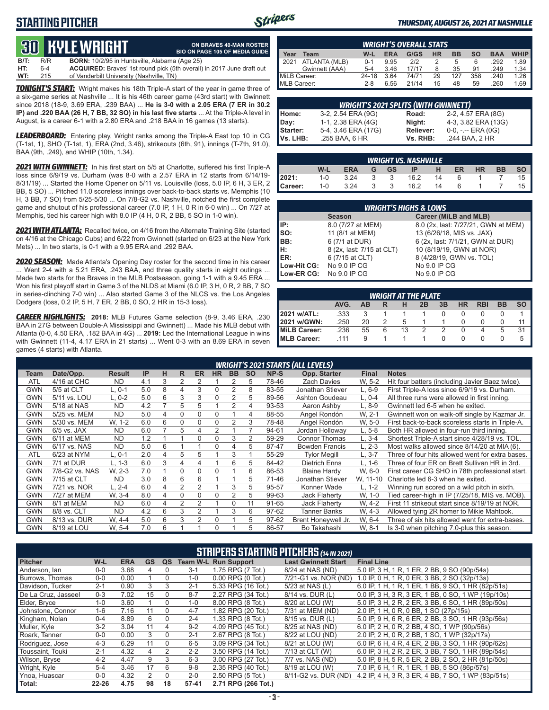### **STARTING PITCHER**



**ON BRAVES 40-MAN ROSTER**

#### *THURSDAY, AUGUST 26, 2021 AT NASHVILLE*

## **30 RYLE WRIGHT**

|      |     | <u>tus bible white in</u>                            | <b>BIO ON PAGE 105 OF MEDIA GUIDE</b>                                        |
|------|-----|------------------------------------------------------|------------------------------------------------------------------------------|
| B/T: | R/R | <b>BORN:</b> 10/2/95 in Huntsville, Alabama (Age 25) |                                                                              |
| HT:  | 6-4 |                                                      | <b>ACQUIRED:</b> Braves' 1st round pick (5th overall) in 2017 June draft out |
| WT:  | 215 | of Vanderbilt University (Nashville, TN)             |                                                                              |

*TONIGHT'S START:* Wright makes his 18th Triple-A start of the year in game three of a six-game series at Nashville ... It is his 46th career game (43rd start) with Gwinnett since 2018 (18-9, 3.69 ERA, .239 BAA) ... **He is 3-0 with a 2.05 ERA (7 ER in 30.2 IP) and .220 BAA (26 H, 7 BB, 32 SO) in his last five starts** ... At the Triple-A level in August, is a career 6-1 with a 2.80 ERA and .218 BAA in 16 games (13 starts).

*LEADERBOARD:* Entering play, Wright ranks among the Triple-A East top 10 in CG (T-1st, 1), SHO (T-1st, 1), ERA (2nd, 3.46), strikeouts (6th, 91), innings (T-7th, 91.0), BAA (9th, .249), and WHIP (10th, 1.34).

*2021 WITH GWINNETT:* In his first start on 5/5 at Charlotte, suffered his first Triple-A loss since 6/9/19 vs. Durham (was 8-0 with a 2.57 ERA in 12 starts from 6/14/19- 8/31/19) ... Started the Home Opener on 5/11 vs. Louisville (loss, 5.0 IP, 6 H, 3 ER, 2 BB, 5 SO) ... Pitched 11.0 scoreless innings over back-to-back starts vs. Memphis (10 H, 3 BB, 7 SO) from 5/25-5/30 ... On 7/8-G2 vs. Nashville, notched the first complete game and shutout of his professional career (7.0 IP, 1 H, 0 R in 6-0 win) ... On 7/27 at Memphis, tied his career high with 8.0 IP (4 H, 0 R, 2 BB, 5 SO in 1-0 win).

*2021 WITH ATLANTA:* Recalled twice, on 4/16 from the Alternate Training Site (started on 4/16 at the Chicago Cubs) and 6/22 from Gwinnett (started on 6/23 at the New York Mets) ... In two starts, is 0-1 with a 9.95 ERA and .292 BAA.

*2020 SEASON:* Made Atlanta's Opening Day roster for the second time in his career ... Went 2-4 with a 5.21 ERA, .243 BAA, and three quality starts in eight outings ... Made two starts for the Braves in the MLB Postseason, going 1-1 with a 9.45 ERA ... Won his first playoff start in Game 3 of the NLDS at Miami (6.0 IP, 3 H, 0 R, 2 BB, 7 SO in series-clinching 7-0 win) ... Also started Game 3 of the NLCS vs. the Los Angeles Dodgers (loss, 0.2 IP, 5 H, 7 ER, 2 BB, 0 SO, 2 HR in 15-3 loss).

*CAREER HIGHLIGHTS:* **2018:** MLB Futures Game selection (8-9, 3.46 ERA, .230 BAA in 27G between Double-A Mississippi and Gwinnett) ... Made his MLB debut with Atlanta (0-0, 4.50 ERA, .182 BAA in 4G) ... **2019:** Led the International League in wins with Gwinnett (11-4, 4.17 ERA in 21 starts) ... Went 0-3 with an 8.69 ERA in seven games (4 starts) with Atlanta.

| <b>WRIGHT'S OVERALL STATS</b> |                |         |            |       |           |           |     |            |             |  |  |  |  |
|-------------------------------|----------------|---------|------------|-------|-----------|-----------|-----|------------|-------------|--|--|--|--|
| Year                          | Team           | W-L     | <b>ERA</b> | G/GS  | <b>HR</b> | <b>BB</b> | so  | <b>BAA</b> | <b>WHIP</b> |  |  |  |  |
| 12021                         | ATLANTA (MLB)  | $0 - 1$ | 9.95       | 212   |           | 5         | 6   | .292       | 1.89        |  |  |  |  |
|                               | Gwinnett (AAA) | $5 - 4$ | 3.46       | 17/17 |           | 35        | 91  | .249       | 1.34        |  |  |  |  |
| MiLB Career:                  |                | 24-18   | 3.64       | 74/71 | 29        | 127       | 358 | .240       | 1.26        |  |  |  |  |
| MLB Career:                   |                | $2 - 8$ | 6.56       | 21/14 | 15        | 48        | 59  | .260       | 1.69        |  |  |  |  |

| <b>WRIGHT'S 2021 SPLITS (WITH GWINNETT)</b> |                     |           |                       |  |  |  |  |  |  |  |
|---------------------------------------------|---------------------|-----------|-----------------------|--|--|--|--|--|--|--|
|                                             | 3-2, 2.54 ERA (9G)  | Road:     | 2-2, 4.57 ERA (8G)    |  |  |  |  |  |  |  |
|                                             | 1-1, 2.38 ERA (4G)  | Night:    | 4-3, 3.82 ERA (13G)   |  |  |  |  |  |  |  |
|                                             | 5-4, 3.46 ERA (17G) | Reliever: | $0-0, - -$ ERA $(0G)$ |  |  |  |  |  |  |  |
| Home:<br>Day:<br>Starter:<br>Vs. LHB:       | .255 BAA, 6 HR      | Vs. RHB:  | .244 BAA, 2 HR        |  |  |  |  |  |  |  |

|         | <b>WRIGHT VS. NASHVILLE</b> |            |   |           |      |    |    |           |           |     |  |  |  |  |  |
|---------|-----------------------------|------------|---|-----------|------|----|----|-----------|-----------|-----|--|--|--|--|--|
|         | W-L                         | <b>ERA</b> | G | <b>GS</b> | IP   | н  | ER | <b>HR</b> | <b>BB</b> |     |  |  |  |  |  |
| 2021:   | $1 - 0$                     | 3.24       |   |           | 16.2 | 14 |    |           |           | I.D |  |  |  |  |  |
| Career: | $1 - 0$                     | 3.24       |   |           | 16.2 | 14 | 6  |           |           | ۱C  |  |  |  |  |  |

| <b>WRIGHT'S HIGHS &amp; LOWS</b> |                           |                                     |  |  |  |  |  |  |  |  |  |
|----------------------------------|---------------------------|-------------------------------------|--|--|--|--|--|--|--|--|--|
|                                  | <b>Season</b>             | Career (MiLB and MLB)               |  |  |  |  |  |  |  |  |  |
| IIP:                             | 8.0 (7/27 at MEM)         | 8.0 (2x, last: 7/27/21, GWN at MEM) |  |  |  |  |  |  |  |  |  |
| Iso:                             | 11 (8/1 at MEM)           | 13 (6/26/18, MIS vs. JAX)           |  |  |  |  |  |  |  |  |  |
| IBB:                             | 6 (7/1 at DUR)            | 6 (2x, last: 7/1/21, GWN at DUR)    |  |  |  |  |  |  |  |  |  |
| IH:                              | 8 (2x, last: 7/15 at CLT) | 10 (8/19/19, GWN at NOR)            |  |  |  |  |  |  |  |  |  |
| <b>IER:</b>                      | 6 (7/15 at CLT)           | 8 (4/28/19, GWN vs. TOL)            |  |  |  |  |  |  |  |  |  |
| Low-Hit CG:                      | No 9.0 IP CG              | No 9.0 IP CG                        |  |  |  |  |  |  |  |  |  |
| Low-ER CG:                       | No 9.0 IP CG              | No 9.0 IP CG                        |  |  |  |  |  |  |  |  |  |

|                                                               | <b>WRIGHT AT THE PLATE</b> |    |   |    |  |  |          |   |   |  |  |  |  |  |  |
|---------------------------------------------------------------|----------------------------|----|---|----|--|--|----------|---|---|--|--|--|--|--|--|
| AVG.<br>3B<br>HR<br><b>RBI</b><br>BB<br><b>SO</b><br>2B<br>AB |                            |    |   |    |  |  |          |   |   |  |  |  |  |  |  |
| 2021 w/ATL:                                                   | .333                       |    |   |    |  |  |          |   |   |  |  |  |  |  |  |
| 2021 w/GWN:                                                   | .250                       | 20 |   |    |  |  |          |   |   |  |  |  |  |  |  |
| MiLB Career:                                                  | .236                       | 55 | 6 | 13 |  |  | $\Omega$ | 4 | 5 |  |  |  |  |  |  |
| MLB Career:                                                   | 111                        | 9  |   |    |  |  |          |   |   |  |  |  |  |  |  |

|            |                |               |     |   |   |                |              |           |           |       | <b>WRIGHT'S 2021 STARTS (ALL LEVELS)</b> |              |                                                  |
|------------|----------------|---------------|-----|---|---|----------------|--------------|-----------|-----------|-------|------------------------------------------|--------------|--------------------------------------------------|
| Team       | Date/Opp.      | <b>Result</b> | IP  | н | R | <b>ER</b>      | <b>HR</b>    | <b>BB</b> | <b>SO</b> | NP-S  | Opp. Starter                             | <b>Final</b> | <b>Notes</b>                                     |
| <b>ATL</b> | 4/16 at CHC    | <b>ND</b>     | 4.1 | 3 | 2 |                |              |           | 5         | 78-46 | <b>Zach Davies</b>                       | W. 5-2       | Hit four batters (including Javier Baez twice).  |
| <b>GWN</b> | 5/5 at CLT     | $L.0-1$       | 5.0 | 8 | 4 | 3              | $\Omega$     |           | 8         | 83-55 | Jonathan Stiever                         | $L.6-9$      | First Triple-A loss since 6/9/19 vs. Durham.     |
| GWN        | 5/11 vs. LOU   | L. 0-2        | 5.0 | 6 | 3 | 3              | $\Omega$     | 2         | 5         | 89-56 | Ashton Goudeau                           | L, 0-4       | All three runs were allowed in first inning.     |
| <b>GWN</b> | 5/18 at NAS    | <b>ND</b>     | 4.2 |   | 5 | 5              |              | 2         | 4         | 93-53 | Aaron Ashby                              | L. 8-9       | Gwinnett led 6-5 when he exited.                 |
| <b>GWN</b> | 5/25 vs. MEM   | <b>ND</b>     | 5.0 | 4 | 0 | 0              | $\mathbf{0}$ |           | 4         | 88-55 | Angel Rondón                             | W. 2-1       | Gwinnett won on walk-off single by Kazmar Jr.    |
| <b>GWN</b> | 5/30 vs. MEM   | W. 1-2        | 6.0 | 6 | 0 | 0              | $\Omega$     |           | 3         | 78-48 | Angel Rondón                             | W. 5-0       | First back-to-back scoreless starts in Triple-A. |
| <b>GWN</b> | $6/5$ vs. JAX  | <b>ND</b>     | 6.0 |   | 5 | 4              | 2            |           |           | 94-61 | Jordan Holloway                          | L, 5-8       | Both HR allowed in four-run third inning.        |
| <b>GWN</b> | 6/11 at MEM    | <b>ND</b>     | 1.2 |   |   | $\Omega$       | $\Omega$     | 3         | 2         | 59-29 | <b>Connor Thomas</b>                     | $L, 3-4$     | Shortest Triple-A start since 4/28/19 vs. TOL.   |
| <b>GWN</b> | 6/17 vs. NAS   | <b>ND</b>     | 5.0 | 6 |   |                | $\Omega$     | 4         | 5         | 87-47 | <b>Bowden Francis</b>                    | L. 2-3       | Most walks allowed since 8/14/20 at MIA (6).     |
| <b>ATL</b> | 6/23 at NYM    | L, 0-1        | 2.0 | 4 | 5 | 5              |              | 3         |           | 55-29 | <b>Tylor Megill</b>                      | L. 3-7       | Three of four hits allowed went for extra bases. |
| <b>GWN</b> | 7/1 at DUR     | L. 1-3        | 6.0 | 3 | 4 | 4              |              | 6         | 5         | 84-42 | Dietrich Enns                            | L. 1-6       | Three of four ER on Brett Sullivan HR in 3rd.    |
| <b>GWN</b> | 7/8-G2 vs. NAS | W. 2-3        | 7.0 |   | 0 | 0              | $\Omega$     |           | 6         | 86-53 | <b>Blaine Hardy</b>                      | W. 6-0       | First career CG SHO in 78th professional start.  |
| <b>GWN</b> | 7/15 at CLT    | <b>ND</b>     | 3.0 | 8 | 6 | 6              |              |           | 5         | 71-46 | Jonathan Stiever                         | W, 11-10     | Charlotte led 6-3 when he exited.                |
| <b>GWN</b> | 7/21 vs. NOR   | $L. 2 - 4$    | 6.0 | 4 | 2 | 2              |              | 3         | 5         | 95-57 | Konner Wade                              | L. 1-2       | Winning run scored on a wild pitch in sixth.     |
| <b>GWN</b> | 7/27 at MEM    | W. 3-4        | 8.0 | 4 | 0 | $\Omega$       | $\Omega$     |           | 5         | 99-63 | <b>Jack Flaherty</b>                     | W, 1-0       | Tied career-high in IP (7/25/18, MIS vs. MOB).   |
| <b>GWN</b> | 8/1 at MEM     | <b>ND</b>     | 6.0 | 4 | 2 | 2              |              | $\Omega$  | 11        | 91-65 | Jack Flaherty                            | W. 4-2       | First 11 strikeout start since 8/19/19 at NOR.   |
| <b>GWN</b> | 8/8 vs. CLT    | <b>ND</b>     | 4.2 | 6 | 3 | $\mathfrak{p}$ |              | 3         | 6         | 97-62 | Tanner Banks                             | W. 4-3       | Allowed tying 2R homer to Mikie Mahtook.         |
| <b>GWN</b> | 8/13 vs. DUR   | W. 4-4        | 5.0 | 6 | 3 | 2              | $\Omega$     |           | 5         | 97-62 | Brent Honeywell Jr.                      | W. 6-4       | Three of six hits allowed went for extra-bases.  |
| <b>GWN</b> | 8/19 at LOU    | W. 5-4        | 7.0 | 6 |   |                |              |           | 5         | 86-57 | Bo Takahashi                             | W. 8-1       | Is 3-0 when pitching 7.0-plus this season.       |

| <b>STRIPERS STARTING PITCHERS (14 IN 2021)</b> |           |            |           |          |           |                             |                            |                                                    |  |  |  |  |
|------------------------------------------------|-----------|------------|-----------|----------|-----------|-----------------------------|----------------------------|----------------------------------------------------|--|--|--|--|
| <b>Pitcher</b>                                 | $W-L$     | <b>ERA</b> | <b>GS</b> | QS       |           | <b>Team W-L Run Support</b> | <b>Last Gwinnett Start</b> | <b>Final Line</b>                                  |  |  |  |  |
| Anderson, lan                                  | $0 - 0$   | 3.68       | 4         | 0        | $3 - 1$   | 1.75 RPG (7 Tot.)           | 8/24 at NAS (ND)           | 5.0 IP, 3 H, 1 R, 1 ER, 2 BB, 9 SO (90p/54s)       |  |  |  |  |
| Burrows, Thomas                                | $0 - 0$   | 0.00       |           | 0        | $1 - 0$   | $0.00$ RPG $(0$ Tot.)       | 7/21-G1 vs. NOR (ND)       | 1.0 IP, 0 H, 1 R, 0 ER, 3 BB, 2 SO (32p/13s)       |  |  |  |  |
| Davidson, Tucker                               | $2 - 1$   | 0.90       | 3         | 3        | $2 - 1$   | 5.33 RPG (16 Tot.)          | 5/23 at NAS (L)            | 6.0 IP, 1 H, 1 R, 1 ER, 1 BB, 9 SO, 1 HR (82p/51s) |  |  |  |  |
| De La Cruz, Jasseel                            | $0 - 3$   | 7.02       | 15        | 0        | $8 - 7$   | 2.27 RPG (34 Tot.)          | 8/14 vs. DUR (L)           | 0.0 IP, 3 H, 3 R, 3 ER, 1 BB, 0 SO, 1 WP (19p/10s) |  |  |  |  |
| Elder, Bryce                                   | $1 - 0$   | 3.60       |           | $\Omega$ | $1 - 0$   | 8.00 RPG (8 Tot.)           | 8/20 at LOU (W)            | 5.0 IP, 3 H, 2 R, 2 ER, 3 BB, 6 SO, 1 HR (89p/50s) |  |  |  |  |
| Johnstone, Connor                              | $1 - 6$   | 7.16       | 11        | $\Omega$ | $4 - 7$   | 1.82 RPG (20 Tot.)          | 7/31 at MEM (ND)           | 2.0 IP, 1 H, 0 R, 0 BB, 1 SO (27p/15s)             |  |  |  |  |
| Kingham, Nolan                                 | $0 - 4$   | 8.89       | 6         | $\Omega$ | $2 - 4$   | 1.33 RPG (8 Tot.)           | 8/15 vs. DUR (L)           | 5.0 IP, 9 H, 6 R, 6 ER, 2 BB, 3 SO, 1 HR (93p/56s) |  |  |  |  |
| Muller, Kyle                                   | $3 - 2$   | 3.04       | 11        | 4        | $9 - 2$   | 4.09 RPG (45 Tot.)          | 8/25 at NAS (ND)           | 6.0 IP, 2 H, 0 R, 2 BB, 4 SO, 1 WP (90p/56s)       |  |  |  |  |
| Roark. Tanner                                  | $0 - 0$   | 0.00       | 3         | $\Omega$ | $2 - 1$   | 2.67 RPG (8 Tot.)           | 8/22 at LOU (ND)           | 2.0 IP, 2 H, 0 R, 2 BB, 1 SO, 1 WP (32p/17s)       |  |  |  |  |
| Rodriguez, Jose                                | $4 - 3$   | 6.29       | 11        | $\Omega$ | $6 - 5$   | 3.09 RPG (34 Tot.)          | 8/21 at LOU (W)            | 6.0 IP, 6 H, 4 R, 4 ER, 2 BB, 3 SO, 1 HR (90p/62s) |  |  |  |  |
| Toussaint, Touki                               | $2 - 1$   | 4.32       | 4         | 2        | $2 - 2$   | 3.50 RPG (14 Tot.)          | 7/13 at CLT (W)            | 6.0 IP, 3 H, 2 R, 2 ER, 3 BB, 7 SO, 1 HR (89p/54s) |  |  |  |  |
| Wilson, Bryse                                  | $4 - 2$   | 4.47       | 9         | 3        | $6 - 3$   | 3.00 RPG (27 Tot.)          | 7/7 vs. NAS (ND)           | 5.0 IP, 8 H, 5 R, 5 ER, 2 BB, 2 SO, 2 HR (81p/50s) |  |  |  |  |
| Wright, Kyle                                   | $5 - 4$   | 3.46       | 17        | 6        | $9 - 8$   | 2.35 RPG (40 Tot.)          | 8/19 at LOU (W)            | 7.0 IP, 6 H, 1 R, 1 ER, 1 BB, 5 SO (86p/57s)       |  |  |  |  |
| Ynoa, Huascar                                  | $0 - 0$   | 4.32       | 2         | $\Omega$ | $2 - 0$   | 2.50 RPG (5 Tot.)           | 8/11-G2 vs. DUR (ND)       | 4.2 IP, 4 H, 3 R, 3 ER, 4 BB, 7 SO, 1 WP (83p/51s) |  |  |  |  |
| Total:                                         | $22 - 26$ | 4.75       | 98        | 18       | $57 - 41$ | 2.71 RPG (266 Tot.)         |                            |                                                    |  |  |  |  |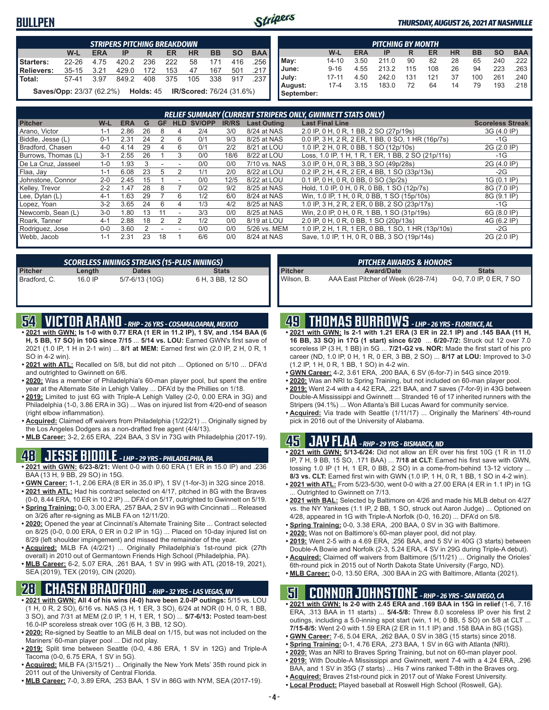### **BULLPEN**



#### *THURSDAY, AUGUST 26, 2021 AT NASHVILLE*

|            | <b>STRIPERS PITCHING BREAKDOWN</b>                                                       |      |       |     |         |    |         |     |      |  |  |  |  |  |
|------------|------------------------------------------------------------------------------------------|------|-------|-----|---------|----|---------|-----|------|--|--|--|--|--|
|            | W-L<br><b>HR</b><br><b>BAA</b><br><b>BB</b><br><b>ERA</b><br><b>SO</b><br>ER.<br>IP<br>R |      |       |     |         |    |         |     |      |  |  |  |  |  |
| Starters:  | $22 - 26$                                                                                | 4.75 | 420.2 | 236 | 222     | 58 | 171     | 416 | .256 |  |  |  |  |  |
| Relievers: | 35-15 3.21                                                                               |      | 429.0 | 172 | 153     | 47 | 167     | 501 | .217 |  |  |  |  |  |
| Total:     | 57-41 3.97                                                                               |      | 849.2 |     | 408 375 |    | 105 338 | 917 | .237 |  |  |  |  |  |
|            | <b>Saves/Opp:</b> 23/37 (62.2%) <b>Holds:</b> 45 <b>IR/Scored:</b> 76/24 (31.6%)         |      |       |     |         |    |         |     |      |  |  |  |  |  |

| <b>PITCHING BY MONTH</b> |           |            |       |     |     |           |           |           |                       |
|--------------------------|-----------|------------|-------|-----|-----|-----------|-----------|-----------|-----------------------|
|                          | W-L       | <b>ERA</b> | IP    | R   | ER  | <b>HR</b> | <b>BB</b> | <b>SO</b> | <b>BAA</b>            |
| May:                     | $14 - 10$ | 3.50       | 211.0 | 90  | 82  | 28        | 65        | 240       | .222 I                |
| June:                    | $9 - 16$  | 4.55       | 213.2 | 115 | 108 | 26        | 94        | 223       | .263                  |
| July:                    | $17 - 11$ | 4.50       | 242.0 | 131 | 121 | 37        | 100       | 261       | .240 I                |
| August:<br>September:    | $17 - 4$  | 3.15       | 183.0 | 72  | 64  | 14        | 79        | 193       | $.218$ $\blacksquare$ |

|                     | <b>RELIEF SUMMARY (CURRENT STRIPERS ONLY, GWINNETT STATS ONLY)</b> |            |    |           |            |        |              |                    |                                                    |                         |  |
|---------------------|--------------------------------------------------------------------|------------|----|-----------|------------|--------|--------------|--------------------|----------------------------------------------------|-------------------------|--|
| <b>Pitcher</b>      | W-L                                                                | <b>ERA</b> | G  | <b>GF</b> | <b>HLD</b> | SV/OPP | <b>IR/RS</b> | <b>Last Outing</b> | <b>Last Final Line</b>                             | <b>Scoreless Streak</b> |  |
| Arano, Victor       | $1 - 1$                                                            | 2.86       | 26 | 8         |            | 2/4    | 3/0          | 8/24 at NAS        | 2.0 IP, 0 H, 0 R, 1 BB, 2 SO (27p/19s)             | 3G (4.0 IP)             |  |
| Biddle, Jesse (L)   | $0 - 1$                                                            | 2.31       | 24 |           | 6          | 0/1    | 9/3          | 8/25 at NAS        | 0.0 IP, 3 H, 2 R, 2 ER, 1 BB, 0 SO, 1 HR (16p/7s)  | $-1G$                   |  |
| Bradford, Chasen    | 4-0                                                                | 4.14       | 29 |           | 6          | 0/1    | 2/2          | 8/21 at LOU        | 1.0 IP, 2 H, 0 R, 0 BB, 1 SO (12p/10s)             | 2G (2.0 IP)             |  |
| Burrows, Thomas (L) | $3 - 1$                                                            | 2.55       | 26 |           | 3          | 0/0    | 18/6         | 8/22 at LOU        | Loss, 1.0 IP, 1 H, 1 R, 1 ER, 1 BB, 2 SO (21p/11s) | $-1G$                   |  |
| De La Cruz, Jasseel | $1 - 0$                                                            | L.93       | 3  |           |            | 0/0    | 0/0          | 7/10 vs. NAS       | 3.0 IP, 0 H, 0 R, 3 BB, 3 SO (49p/28s)             | 2G (4.0 IP)             |  |
| Flaa, Jay           | $1 - 1$                                                            | 6.08       | 23 | 5         |            | 1/1    | 2/0          | 8/22 at LOU        | 0.2 IP, 2 H, 4 R, 2 ER, 4 BB, 1 SO (33p/13s)       | $-2G$                   |  |
| Johnstone, Connor   | $2 - 0$                                                            | 2.45       | 15 |           |            | 0/0    | 12/5         | 8/22 at LOU        | 0.1 IP, 0 H, 0 R, 0 BB, 0 SO (3p/2s)               | 1G (0.1 IP)             |  |
| Kelley, Trevor      | $2 - 2$                                                            | l.47       | 28 | 8         |            | 0/2    | 9/2          | 8/25 at NAS        | Hold, 1.0 IP, 0 H, 0 R, 0 BB, 1 SO (12p/7s)        | 8G (7.0 IP)             |  |
| Lee, Dylan (L)      | $4 - 1$                                                            | .63        | 29 |           | 6          | 1/2    | 6/0          | 8/24 at NAS        | Win, 1.0 IP, 1 H, 0 R, 0 BB, 1 SO (15p/10s)        | 8G (9.1 IP)             |  |
| Lopez, Yoan         | $3-2$                                                              | 3.65       | 24 | 6         | 4          | 1/3    | 4/2          | 8/25 at NAS        | 1.0 IP, 3 H, 2 R, 2 ER, 0 BB, 2 SO (23p/17s)       | $-1G$                   |  |
| Newcomb, Sean (L)   | $3-0$                                                              | .80        | 13 |           |            | 3/3    | 0/0          | 8/25 at NAS        | Win, 2.0 IP, 0 H, 0 R, 1 BB, 1 SO (31p/19s)        | 6G (8.0 IP)             |  |
| Roark, Tanner       | $4 - 1$                                                            | 2.88       | 18 |           |            | 1/2    | 0/0          | 8/19 at LOU        | 2.0 IP, 0 H, 0 R, 0 BB, 1 SO (20p/13s)             | 4G (6.2 IP)             |  |
| Rodriguez, Jose     | $0 - 0$                                                            | 3.60       |    |           |            | 0/0    | 0/0          | 5/26 vs. MEM       | 1.0 IP, 2 H, 1 R, 1 ER, 0 BB, 1 SO, 1 HR (13p/10s) | $-2G$                   |  |
| Webb, Jacob         | $1 - 1$                                                            | 2.31       | 23 | 18        |            | 6/6    | 0/0          | 8/24 at NAS        | Save, 1.0 IP, 1 H, 0 R, 0 BB, 3 SO (19p/14s)       | 2G (2.0 IP)             |  |

| <b>SCORELESS INNINGS STREAKS (15-PLUS INNINGS)</b> |         |                |                  |  |  |  |  |
|----------------------------------------------------|---------|----------------|------------------|--|--|--|--|
| Pitcher                                            | Length  | <b>Dates</b>   | <b>Stats</b>     |  |  |  |  |
| Bradford, C.                                       | 16.0 IP | 5/7-6/13 (10G) | 6 H, 3 BB, 12 SO |  |  |  |  |

## **54 VICTOR ARANO** *- RHP - 26 YRS - COSAMALOAPAN, MEXICO*

- **• 2021 with GWN: Is 1-0 with 0.77 ERA (1 ER in 11.2 IP), 1 SV, and .154 BAA (6 H, 5 BB, 17 SO) in 10G since 7/15** ... **5/14 vs. LOU:** Earned GWN's first save of 2021 (1.0 IP, 1 H in 2-1 win) ... **8/1 at MEM:** Earned first win (2.0 IP, 2 H, 0 R, 1 SO in 4-2 win).
- **• 2021 with ATL:** Recalled on 5/8, but did not pitch ... Optioned on 5/10 ... DFA'd and outrighted to Gwinnett on 6/6.
- **• 2020:** Was a member of Philadelphia's 60-man player pool, but spent the entire year at the Alternate Site in Lehigh Valley ... DFA'd by the Phillies on 1/18.
- **• 2019:** Limited to just 6G with Triple-A Lehigh Valley (2-0, 0.00 ERA in 3G) and Philadelphia (1-0, 3.86 ERA in 3G) ... Was on injured list from 4/20-end of season (right elbow inflammation).
- **• Acquired:** Claimed off waivers from Philadelphia (1/22/21) ... Originally signed by the Los Angeles Dodgers as a non-drafted free agent (4/4/13).
- **• MLB Career:** 3-2, 2.65 ERA, .224 BAA, 3 SV in 73G with Philadelphia (2017-19).

### **48 JESSE BIDDLE** *- LHP - 29 YRS - PHILADELPHIA, PA*

- **• 2021 with GWN: 6/23-8/21:** Went 0-0 with 0.60 ERA (1 ER in 15.0 IP) and .236 BAA (13 H, 9 BB, 29 SO) in 15G.
- **• GWN Career:** 1-1, 2.06 ERA (8 ER in 35.0 IP), 1 SV (1-for-3) in 32G since 2018. **• 2021 with ATL:** Had his contract selected on 4/17, pitched in 8G with the Braves
- (0-0, 8.44 ERA, 10 ER in 10.2 IP) ... DFA'd on 5/17, outrighted to Gwinnett on 5/19. **• Spring Training:** 0-0, 3.00 ERA, .257 BAA, 2 SV in 9G with Cincinnati ... Released
- on 3/26 after re-signing as MiLB FA on 12/11/20. **• 2020:** Opened the year at Cincinnati's Alternate Training Site ... Contract selected on 8/25 (0-0, 0.00 ERA, 0 ER in 0.2 IP in 1G) ... Placed on 10-day injured list on 8/29 (left shoulder impingement) and missed the remainder of the year.
- **• Acquired:** MiLB FA (4/2/21) ... Originally Philadelphia's 1st-round pick (27th overall) in 2010 out of Germantown Friends High School (Philadelphia, PA).
- **• MLB Career:** 6-2, 5.07 ERA, .261 BAA, 1 SV in 99G with ATL (2018-19, 2021), SEA (2019), TEX (2019), CIN (2020).

### **28 CHASEN BRADFORD** *- RHP - 32 YRS - LAS VEGAS, NV*

- **• 2021 with GWN: All 4 of his wins (4-0) have been 2.0-IP outings:** 5/15 vs. LOU (1 H, 0 R, 2 SO), 6/16 vs. NAS (3 H, 1 ER, 3 SO), 6/24 at NOR (0 H, 0 R, 1 BB, 3 SO), and 7/31 at MEM (2.0 IP, 1 H, 1 ER, 1 SO) ... **5/7-6/13:** Posted team-best 16.0-IP scoreless streak over 10G (6 H, 3 BB, 12 SO).
- **• 2020:** Re-signed by Seattle to an MiLB deal on 1/15, but was not included on the Mariners' 60-man player pool ... Did not play.
- **• 2019:** Split time between Seattle (0-0, 4.86 ERA, 1 SV in 12G) and Triple-A Tacoma (0-0, 6.75 ERA, 1 SV in 5G).
- **• Acquired:** MiLB FA (3/15/21) ... Originally the New York Mets' 35th round pick in 2011 out of the University of Central Florida.
- **• MLB Career:** 7-0, 3.89 ERA, .253 BAA, 1 SV in 86G with NYM, SEA (2017-19).

|                | <b>PITCHER AWARDS &amp; HONORS</b>  |                         |
|----------------|-------------------------------------|-------------------------|
| <b>Pitcher</b> | <b>Award/Date</b>                   | <b>Stats</b>            |
| Wilson. B.     | AAA East Pitcher of Week (6/28-7/4) | 0-0, 7.0 IP, 0 ER, 7 SO |

### **49 THOMAS BURROWS** *- LHP - 26 YRS - FLORENCE, AL*

- **• 2021 with GWN: Is 2-1 with 1.21 ERA (3 ER in 22.1 IP) and .145 BAA (11 H, 16 BB, 33 SO) in 17G (1 start) since 6/20** ... **6/20-7/2:** Struck out 12 over 7.0 scoreless IP (3 H, 1 BB) in 5G ... **7/21-G2 vs. NOR:** Made the first start of his pro career (ND, 1.0 IP, 0 H, 1 R, 0 ER, 3 BB, 2 SO) ... **8/17 at LOU:** Improved to 3-0 (1.2 IP, 1 H, 0 R, 1 BB, 1 SO) in 4-2 win.
- **• GWN Career:** 4-2, 3.61 ERA, .200 BAA, 6 SV (6-for-7) in 54G since 2019.
- **• 2020:** Was an NRI to Spring Training, but not included on 60-man player pool.
- **• 2019:** Went 2-4 with a 4.42 ERA, .221 BAA, and 7 saves (7-for-9) in 43G between Double-A Mississippi and Gwinnett ... Stranded 16 of 17 inherited runners with the Stripers (94.1%) ... Won Atlanta's Bill Lucas Award for community service.
- **• Acquired:** Via trade with Seattle (1/11/17) ... Originally the Mariners' 4th-round pick in 2016 out of the University of Alabama.

#### **45 JAY FLAA** *- RHP - 29 YRS - BISMARCK, ND*

- **• 2021 with GWN: 5/13-6/24:** Did not allow an ER over his first 10G (1 R in 11.0 IP, 7 H, 9 BB, 15 SO, .171 BAA) ... **7/18 at CLT:** Earned his first save with GWN, tossing 1.0 IP (1 H, 1 ER, 0 BB, 2 SO) in a come-from-behind 13-12 victory ... **8/3 vs. CLT:** Earned first win with GWN (1.0 IP, 1 H, 0 R, 1 BB, 1 SO in 4-2 win).
- **• 2021 with ATL:** From 5/23-5/30, went 0-0 with a 27.00 ERA (4 ER in 1.1 IP) in 1G . Outrighted to Gwinnett on 7/13.
- **• 2021 with BAL:** Selected by Baltimore on 4/26 and made his MLB debut on 4/27 vs. the NY Yankees (1.1 IP, 2 BB, 1 SO, struck out Aaron Judge) ... Optioned on 4/28, appeared in 1G with Triple-A Norfolk (0-0, 16.20) ... DFA'd on 5/8.
- **• Spring Training:** 0-0, 3.38 ERA, .200 BAA, 0 SV in 3G with Baltimore.
- **• 2020:** Was not on Baltimore's 60-man player pool, did not play.
- **• 2019:** Went 2-5 with a 4.69 ERA, .256 BAA, and 5 SV in 40G (3 starts) between
- Double-A Bowie and Norfolk (2-3, 5.24 ERA, 4 SV in 29G during Triple-A debut). **• Acquired:** Claimed off waivers from Baltimore (5/11/21) ... Originally the Orioles'
- 6th-round pick in 2015 out of North Dakota State University (Fargo, ND).
- **• MLB Career:** 0-0, 13.50 ERA, .300 BAA in 2G with Baltimore, Atlanta (2021).

### **51 CONNOR JOHNSTONE** *- RHP - 26 YRS - SAN DIEGO, CA*

- **• 2021 with GWN: Is 2-0 with 2.45 ERA and .169 BAA in 15G in relief** (1-6, 7.16 ERA, .313 BAA in 11 starts) ... **5/4-5/8:** Threw 8.0 scoreless IP over his first 2 outings, including a 5.0-inning spot start (win, 1 H, 0 BB, 5 SO) on 5/8 at CLT ... **7/15-8/5:** Went 2-0 with 1.59 ERA (2 ER in 11.1 IP) and .158 BAA in 8G (1GS).
- **• GWN Career:** 7-6, 5.04 ERA, .262 BAA, 0 SV in 38G (15 starts) since 2018. **• Spring Training:** 0-1, 4.76 ERA, .273 BAA, 1 SV in 6G with Atlanta (NRI).
- **• 2020:** Was an NRI to Braves Spring Training, but not on 60-man player pool.
- **• 2019:** With Double-A Mississippi and Gwinnett, went 7-4 with a 4.24 ERA, .296
- BAA, and 1 SV in 35G (7 starts) ... His 7 wins ranked T-8th in the Braves org. **• Acquired:** Braves 21st-round pick in 2017 out of Wake Forest University.
- **• Local Product:** Played baseball at Roswell High School (Roswell, GA).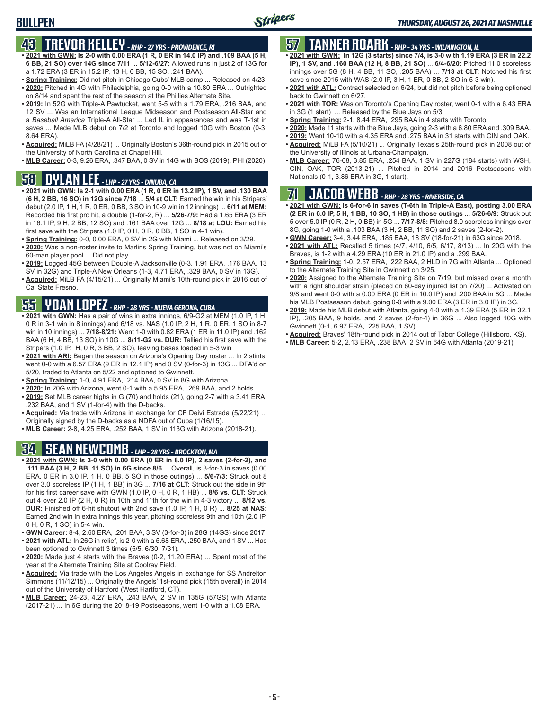### **BULLPEN**

### **43 TREVOR KELLEY** *- RHP - 27 YRS - PROVIDENCE, RI*

- **• 2021 with GWN: Is 2-0 with 0.00 ERA (1 R, 0 ER in 14.0 IP) and .109 BAA (5 H, 6 BB, 21 SO) over 14G since 7/11** ... **5/12-6/27:** Allowed runs in just 2 of 13G for a 1.72 ERA (3 ER in 15.2 IP, 13 H, 6 BB, 15 SO, .241 BAA).
- **• Spring Training:** Did not pitch in Chicago Cubs' MLB camp ... Released on 4/23. **• 2020:** Pitched in 4G with Philadelphia, going 0-0 with a 10.80 ERA ... Outrighted on 8/14 and spent the rest of the season at the Phillies Alternate Site.
- **• 2019:** In 52G with Triple-A Pawtucket, went 5-5 with a 1.79 ERA, .216 BAA, and 12 SV ... Was an International League Midseason and Postseason All-Star and a *Baseball America* Triple-A All-Star ... Led IL in appearances and was T-1st in saves ... Made MLB debut on 7/2 at Toronto and logged 10G with Boston (0-3, 8.64 ERA).
- **• Acquired:** MiLB FA (4/28/21) ... Originally Boston's 36th-round pick in 2015 out of the University of North Carolina at Chapel Hill.
- **• MLB Career:** 0-3, 9.26 ERA, .347 BAA, 0 SV in 14G with BOS (2019), PHI (2020).

### **58 DYLAN LEE** *- LHP - 27 YRS - DINUBA, CA*

- **• 2021 with GWN: Is 2-1 with 0.00 ERA (1 R, 0 ER in 13.2 IP), 1 SV, and .130 BAA (6 H, 2 BB, 16 SO) in 12G since 7/18** ... **5/4 at CLT:** Earned the win in his Stripers' debut (2.0 IP, 1 H, 1 R, 0 ER, 0 BB, 3 SO in 10-9 win in 12 innings) ... **6/11 at MEM:** Recorded his first pro hit, a double (1-for-2, R) ... **5/26-7/9:** Had a 1.65 ERA (3 ER in 16.1 IP, 9 H, 2 BB, 12 SO) and .161 BAA over 12G ... **8/18 at LOU:** Earned his first save with the Stripers (1.0 IP, 0 H, 0 R, 0 BB, 1 SO in 4-1 win).
- **• Spring Training:** 0-0, 0.00 ERA, 0 SV in 2G with Miami ... Released on 3/29.
- **• 2020:** Was a non-roster invite to Marlins Spring Training, but was not on Miami's 60-man player pool ... Did not play.
- **• 2019:** Logged 45G between Double-A Jacksonville (0-3, 1.91 ERA, .176 BAA, 13 SV in 32G) and Triple-A New Orleans (1-3, 4.71 ERA, .329 BAA, 0 SV in 13G).
- **• Acquired:** MiLB FA (4/15/21) ... Originally Miami's 10th-round pick in 2016 out of Cal State Fresno.

## **55 YOAN LOPEZ** *- RHP - 28 YRS - NUEVA GERONA, CUBA*

- **• 2021 with GWN:** Has a pair of wins in extra innings, 6/9-G2 at MEM (1.0 IP, 1 H, 0 R in 3-1 win in 8 innings) and 6/18 vs. NAS (1.0 IP, 2 H, 1 R, 0 ER, 1 SO in 8-7 win in 10 innings) ... **7/18-8/21:** Went 1-0 with 0.82 ERA (1 ER in 11.0 IP) and .162 BAA (6 H, 4 BB, 13 SO) in 10G ... **8/11-G2 vs. DUR:** Tallied his first save with the Stripers (1.0 IP, H, 0 R, 3 BB, 2 SO), leaving bases loaded in 5-3 win
- **• 2021 with ARI:** Began the season on Arizona's Opening Day roster ... In 2 stints, went 0-0 with a 6.57 ERA (9 ER in 12.1 IP) and 0 SV (0-for-3) in 13G ... DFA'd on 5/20, traded to Atlanta on 5/22 and optioned to Gwinnett.
- **• Spring Training:** 1-0, 4.91 ERA, .214 BAA, 0 SV in 8G with Arizona.
- **• 2020:** In 20G with Arizona, went 0-1 with a 5.95 ERA, .269 BAA, and 2 holds.
- **• 2019:** Set MLB career highs in G (70) and holds (21), going 2-7 with a 3.41 ERA, .232 BAA, and 1 SV (1-for-4) with the D-backs.
- **• Acquired:** Via trade with Arizona in exchange for CF Deivi Estrada (5/22/21) ... Originally signed by the D-backs as a NDFA out of Cuba (1/16/15).
- **• MLB Career:** 2-8, 4.25 ERA, .252 BAA, 1 SV in 113G with Arizona (2018-21).

## **34 SEAN NEWCOMB** *- LHP - 28 YRS - BROCKTON, MA*

- **• 2021 with GWN: Is 3-0 with 0.00 ERA (0 ER in 8.0 IP), 2 saves (2-for-2), and .111 BAA (3 H, 2 BB, 11 SO) in 6G since 8/6** ... Overall, is 3-for-3 in saves (0.00 ERA, 0 ER in 3.0 IP, 1 H, 0 BB, 5 SO in those outings) ... **5/6-7/3:** Struck out 8 over 3.0 scoreless IP (1 H, 1 BB) in 3G ... **7/16 at CLT:** Struck out the side in 9th for his first career save with GWN (1.0 IP, 0 H, 0 R, 1 HB) ... **8/6 vs. CLT:** Struck out 4 over 2.0 IP (2 H, 0 R) in 10th and 11th for the win in 4-3 victory ... **8/12 vs. DUR:** Finished off 6-hit shutout with 2nd save (1.0 IP, 1 H, 0 R) ... **8/25 at NAS:** Earned 2nd win in extra innings this year, pitching scoreless 9th and 10th (2.0 IP, 0 H, 0 R, 1 SO) in 5-4 win.
- **• GWN Career:** 8-4, 2.60 ERA, .201 BAA, 3 SV (3-for-3) in 28G (14GS) since 2017. **• 2021 with ATL:** In 26G in relief, is 2-0 with a 5.68 ERA, .250 BAA, and 1 SV ... Has
- been optioned to Gwinnett 3 times (5/5, 6/30, 7/31).
- **• 2020:** Made just 4 starts with the Braves (0-2, 11.20 ERA) ... Spent most of the year at the Alternate Training Site at Coolray Field.
- **• Acquired:** Via trade with the Los Angeles Angels in exchange for SS Andrelton Simmons (11/12/15) ... Originally the Angels' 1st-round pick (15th overall) in 2014 out of the University of Hartford (West Hartford, CT).
- **• MLB Career:** 24-23, 4.27 ERA, .243 BAA, 2 SV in 135G (57GS) with Atlanta (2017-21) ... In 6G during the 2018-19 Postseasons, went 1-0 with a 1.08 ERA.

### **57 TANNER ROARK** *- RHP - 34 YRS - WILMINGTON, IL*

- **• 2021 with GWN: In 12G (3 starts) since 7/4, is 3-0 with 1.19 ERA (3 ER in 22.2 IP), 1 SV, and .160 BAA (12 H, 8 BB, 21 SO)** ... **6/4-6/20:** Pitched 11.0 scoreless innings over 5G (8 H, 4 BB, 11 SO, .205 BAA) ... **7/13 at CLT:** Notched his first save since 2015 with WAS (2.0 IP, 3 H, 1 ER, 0 BB, 2 SO in 5-3 win).
- **• 2021 with ATL:** Contract selected on 6/24, but did not pitch before being optioned back to Gwinnett on 6/27.
- **• 2021 with TOR:** Was on Toronto's Opening Day roster, went 0-1 with a 6.43 ERA in 3G (1 start) ... Released by the Blue Jays on 5/3.
- **• Spring Training:** 2-1, 8.44 ERA, .295 BAA in 4 starts with Toronto.
- **• 2020:** Made 11 starts with the Blue Jays, going 2-3 with a 6.80 ERA and .309 BAA.
- **• 2019:** Went 10-10 with a 4.35 ERA and .275 BAA in 31 starts with CIN and OAK.
- **• Acquired:** MiLB FA (5/10/21) ... Originally Texas's 25th-round pick in 2008 out of the University of Illinois at Urbana-Champaign.
- **• MLB Career:** 76-68, 3.85 ERA, .254 BAA, 1 SV in 227G (184 starts) with WSH, CIN, OAK, TOR (2013-21) ... Pitched in 2014 and 2016 Postseasons with Nationals (0-1, 3.86 ERA in 3G, 1 start).

## **71 JACOB WEBB** *- RHP - 28 YRS - RIVERSIDE, CA*

- **• 2021 with GWN:** I**s 6-for-6 in saves (T-6th in Triple-A East), posting 3.00 ERA (2 ER in 6.0 IP, 5 H, 1 BB, 10 SO, 1 HB) in those outings** ... **5/26-6/9:** Struck out 5 over 5.0 IP (0 R, 2 H, 0 BB) in 5G ... **7/17-8/8:** Pitched 8.0 scoreless innings over 8G, going 1-0 with a .103 BAA (3 H, 2 BB, 11 SO) and 2 saves (2-for-2).
- **• GWN Career:** 3-4, 3.44 ERA, .185 BAA, 18 SV (18-for-21) in 63G since 2018.
- **• 2021 with ATL:** Recalled 5 times (4/7, 4/10, 6/5, 6/17, 8/13) ... In 20G with the Braves, is 1-2 with a 4.29 ERA (10 ER in 21.0 IP) and a .299 BAA.
- **• Spring Training:** 1-0, 2.57 ERA, .222 BAA, 2 HLD in 7G with Atlanta ... Optioned to the Alternate Training Site in Gwinnett on 3/25.
- **• 2020:** Assigned to the Alternate Training Site on 7/19, but missed over a month with a right shoulder strain (placed on 60-day injured list on 7/20) ... Activated on 9/8 and went 0-0 with a 0.00 ERA (0 ER in 10.0 IP) and .200 BAA in 8G ... Made his MLB Postseason debut, going 0-0 with a 9.00 ERA (3 ER in 3.0 IP) in 3G.
- **• 2019:** Made his MLB debut with Atlanta, going 4-0 with a 1.39 ERA (5 ER in 32.1 IP), .205 BAA, 9 holds, and 2 saves (2-for-4) in 36G ... Also logged 10G with Gwinnett (0-1, 6.97 ERA, .225 BAA, 1 SV).
- **• Acquired:** Braves' 18th-round pick in 2014 out of Tabor College (Hillsboro, KS).
- **• MLB Career:** 5-2, 2.13 ERA, .238 BAA, 2 SV in 64G with Atlanta (2019-21).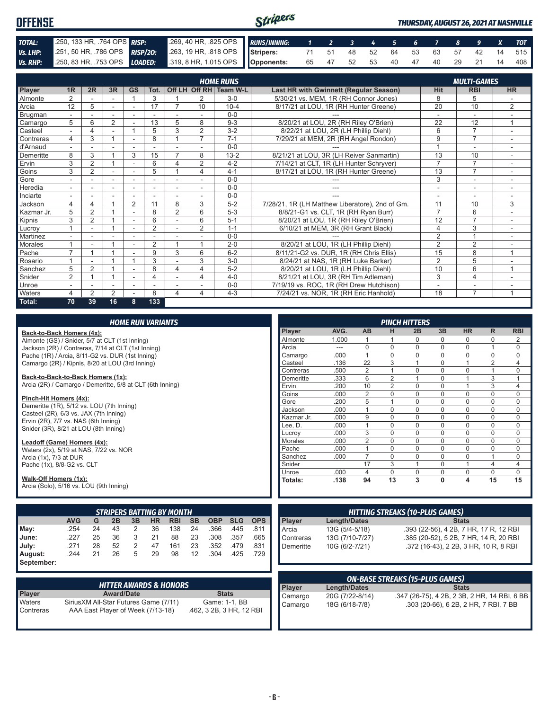| <b>OFFENSE</b> |  |                                                                                                        | Stripers |  |  |  |  |  | <b>THURSDAY, AUGUST 26, 2021 AT NASHVILLE</b> |
|----------------|--|--------------------------------------------------------------------------------------------------------|----------|--|--|--|--|--|-----------------------------------------------|
| TOTAL:         |  | 250, 133 HR, 764 OPS RISP: 269, 40 HR, 825 OPS RUNS/INNING: 1 2 3 4 5 6 7 8 9 X TOT                    |          |  |  |  |  |  |                                               |
| Vs. LHP:       |  | 251, 50 HR, 786 OPS RISP/20: 263, 19 HR, 818 OPS Stripers: 71 51 48 52 64 53 63 57 42 14 515           |          |  |  |  |  |  |                                               |
|                |  | Vs. RHP: 250, 83 HR, 753 OPS LOADED: 319, 8 HR, 1.015 OPS Opponents: 65 47 52 53 40 47 40 29 21 14 408 |          |  |  |  |  |  |                                               |

|            | <b>HOME RUNS</b><br><b>MULTI-GAMES</b> |                |                |                          |                |                          |                |                        |                                                 |                |                |                          |
|------------|----------------------------------------|----------------|----------------|--------------------------|----------------|--------------------------|----------------|------------------------|-------------------------------------------------|----------------|----------------|--------------------------|
| Player     | 1R                                     | 2R             | 3R             | <b>GS</b>                | Tot.           |                          |                | Off LH Off RH Team W-L | Last HR with Gwinnett (Regular Season)          | <b>Hit</b>     | <b>RBI</b>     | <b>HR</b>                |
| Almonte    | $\overline{2}$                         |                |                | $\overline{ }$           | 3              |                          | 2              | $3-0$                  | 5/30/21 vs. MEM, 1R (RH Connor Jones)           | 8              | 5              |                          |
| Arcia      | 12                                     | 5              | ÷.             | $\sim$                   | 17             |                          | 10             | $10 - 4$               | 8/17/21 at LOU, 1R (RH Hunter Greene)           | 20             | 10             | 2                        |
| Brugman    |                                        |                |                |                          |                |                          |                | $0 - 0$                |                                                 |                |                |                          |
| Camargo    | 5                                      | 6              | 2              |                          | 13             | 5                        | 8              | $9 - 3$                | 8/20/21 at LOU, 2R (RH Riley O'Brien)           | 22             | 12             | 1                        |
| Casteel    | $\sim$                                 | 4              | ۰              |                          | 5              | 3                        | $\overline{2}$ | $3 - 2$                | 8/22/21 at LOU, 2R (LH Phillip Diehl)           | 6              | 7              |                          |
| Contreras  | 4                                      | 3              |                |                          | 8              |                          | $\overline{7}$ | $7 - 1$                | 7/29/21 at MEM, 2R (RH Angel Rondon)            | 9              | $\overline{7}$ |                          |
| d'Arnaud   |                                        |                |                |                          |                |                          |                | $0 - 0$                |                                                 |                | ٠              | $\overline{\phantom{a}}$ |
| Demeritte  | 8                                      | 3              |                | 3                        | 15             | $\overline{7}$           | 8              | $13 - 2$               | 8/21/21 at LOU, 3R (LH Reiver Sanmartin)        | 13             | 10             |                          |
| Ervin      | 3                                      | $\overline{2}$ |                | ٠                        | 6              | 4                        | $\overline{2}$ | $4 - 2$                | 7/14/21 at CLT, 1R (LH Hunter Schryver)         | $\overline{7}$ | $\overline{7}$ | $\sim$                   |
| Goins      | 3                                      | $\overline{2}$ |                | ٠                        | 5              |                          | 4              | $4 - 1$                | 8/17/21 at LOU, 1R (RH Hunter Greene)           | 13             | $\overline{7}$ |                          |
| Gore       |                                        |                | ٠              |                          |                |                          |                | $0 - 0$                |                                                 | 3              | ۰              |                          |
| Heredia    | $\sim$                                 |                | ٠              | $\overline{\phantom{a}}$ |                | $\overline{\phantom{a}}$ |                | $0 - 0$                | ---                                             | ٠              | ٠              | ٠                        |
| Inciarte   |                                        |                |                |                          |                |                          |                | $0 - 0$                |                                                 |                | ٠              |                          |
| Jackson    | 4                                      | 4              |                | $\overline{2}$           | 11             | 8                        | 3              | $5-2$                  | 7/28/21, 1R (LH Matthew Liberatore), 2nd of Gm. | 11             | 10             | 3                        |
| Kazmar Jr. | 5                                      | $\overline{2}$ |                |                          | 8              | $\overline{2}$           | 6              | $5-3$                  | 8/8/21-G1 vs. CLT, 1R (RH Ryan Burr)            | $\overline{7}$ | 6              |                          |
| Kipnis     | 3                                      | $\overline{2}$ |                | $\sim$                   | 6              |                          | 6              | $5 - 1$                | 8/20/21 at LOU, 1R (RH Riley O'Brien)           | 12             | $\overline{7}$ |                          |
| Lucrov     |                                        | ۰              |                | ۰                        | $\overline{2}$ | $\blacksquare$           | $\overline{2}$ | $1 - 1$                | 6/10/21 at MEM, 3R (RH Grant Black)             | $\overline{4}$ | 3              | $\sim$                   |
| Martinez   |                                        |                |                |                          |                |                          |                | $0 - 0$                |                                                 | $\overline{2}$ | $\overline{A}$ |                          |
| Morales    |                                        |                |                | ٠                        | 2              |                          |                | $2 - 0$                | 8/20/21 at LOU, 1R (LH Phillip Diehl)           | $\overline{2}$ | $\overline{2}$ |                          |
| Pache      | $\overline{ }$                         |                |                |                          | 9              | 3                        | 6              | $6 - 2$                | 8/11/21-G2 vs. DUR, 1R (RH Chris Ellis)         | 15             | 8              | $\mathbf{1}$             |
| Rosario    |                                        |                |                |                          | 3              |                          | 3              | $3-0$                  | 8/24/21 at NAS, 1R (RH Luke Barker)             | $\overline{2}$ | 5              |                          |
| Sanchez    | 5                                      | $\overline{2}$ |                | ٠                        | 8              | 4                        | 4              | $5-2$                  | 8/20/21 at LOU, 1R (LH Phillip Diehl)           | 10             | 6              | $\overline{1}$           |
| Snider     | $\overline{2}$                         |                |                | $\overline{\phantom{a}}$ | 4              |                          | 4              | $4 - 0$                | 8/21/21 at LOU, 3R (RH Tim Adleman)             | 3              | $\overline{4}$ | $\sim$                   |
| Unroe      |                                        |                | ۰              |                          |                |                          |                | $0 - 0$                | 7/19/19 vs. ROC, 1R (RH Drew Hutchison)         | ۰              | ۰              |                          |
| Waters     | 4                                      | $\overline{2}$ | $\overline{2}$ |                          | 8              | 4                        | 4              | $4 - 3$                | 7/24/21 vs. NOR, 1R (RH Eric Hanhold)           | 18             | $\overline{7}$ |                          |
| Total:     | 70                                     | 39             | 16             | 8                        | 133            |                          |                |                        |                                                 |                |                |                          |

|                                                                     |            |    |    |                | <b>HOME RUN VARIANTS</b> |                                  |           |            |            |            |            |                        |                |                 | <b>PINCH HITTERS</b>                   |              |                                       |                |                |
|---------------------------------------------------------------------|------------|----|----|----------------|--------------------------|----------------------------------|-----------|------------|------------|------------|------------|------------------------|----------------|-----------------|----------------------------------------|--------------|---------------------------------------|----------------|----------------|
| Back-to-Back Homers (4x):                                           |            |    |    |                |                          |                                  |           |            |            |            | Player     | AVG.                   | AB             | н               | 2B                                     | 3B           | <b>HR</b>                             | R.             | <b>RBI</b>     |
| Almonte (GS) / Snider, 5/7 at CLT (1st Inning)                      |            |    |    |                |                          |                                  |           |            |            |            | Almonte    | 1.000                  |                |                 | 0                                      | 0            | 0                                     | 0              | 2              |
| Jackson (2R) / Contreras, 7/14 at CLT (1st Inning)                  |            |    |    |                |                          |                                  |           |            |            |            | Arcia      | $\qquad \qquad \cdots$ | $\mathbf 0$    | $\mathbf 0$     | 0                                      | $\mathbf 0$  | $\Omega$                              |                | $\mathbf 0$    |
| Pache (1R) / Arcia, 8/11-G2 vs. DUR (1st Inning)                    |            |    |    |                |                          |                                  |           |            |            |            | Camargo    | .000                   | $\overline{1}$ | $\Omega$        | $\Omega$                               | $\Omega$     | $\Omega$                              | $\Omega$       | $\Omega$       |
| Camargo (2R) / Kipnis, 8/20 at LOU (3rd Inning)                     |            |    |    |                |                          |                                  |           |            |            |            | Casteel    | .136                   | 22             | 3               | 1                                      | $\mathbf 0$  |                                       | $\overline{2}$ | 4              |
|                                                                     |            |    |    |                |                          |                                  |           |            |            |            | Contreras  | .500                   | $\overline{2}$ |                 | 0                                      | $\Omega$     | $\Omega$                              |                | $\Omega$       |
| Back-to-Back-to-Back Homers (1x):                                   |            |    |    |                |                          |                                  |           |            |            |            | Demeritte  | .333                   | 6              | $\overline{2}$  | 1                                      | $\mathbf 0$  |                                       | 3              | 1              |
| Arcia (2R) / Camargo / Demeritte, 5/8 at CLT (6th Inning)           |            |    |    |                |                          |                                  |           |            |            |            | Ervin      | .200                   | 10             | $\overline{2}$  | 0                                      | $\mathbf 0$  |                                       | 3              | $\overline{4}$ |
|                                                                     |            |    |    |                |                          |                                  |           |            |            |            | Goins      | .000                   | $\overline{2}$ | $\mathbf 0$     | 0                                      | $\mathbf 0$  | $\Omega$                              | $\Omega$       | $\mathbf 0$    |
| Pinch-Hit Homers (4x):<br>Demeritte (1R), 5/12 vs. LOU (7th Inning) |            |    |    |                |                          |                                  |           |            |            |            | Gore       | .200                   | 5              | $\mathbf{1}$    | 0                                      | 0            | $\Omega$                              | 0              | $\mathbf 0$    |
| Casteel (2R), 6/3 vs. JAX (7th Inning)                              |            |    |    |                |                          |                                  |           |            |            |            | Jackson    | .000                   | $\overline{ }$ | $\Omega$        | $\Omega$                               | $\Omega$     | $\Omega$                              | $\Omega$       | $\Omega$       |
| Ervin (2R), 7/7 vs. NAS (6th Inning)                                |            |    |    |                |                          |                                  |           |            |            |            | Kazmar Jr. | .000                   | 9              | $\mathbf 0$     | 0                                      | $\mathbf 0$  | 0                                     | $\Omega$       | $\Omega$       |
| Snider (3R), 8/21 at LOU (8th Inning)                               |            |    |    |                |                          |                                  |           |            |            |            | Lee. D.    | .000                   |                | $\mathbf 0$     | 0                                      | $\mathbf 0$  | $\Omega$                              | 0              | 0              |
|                                                                     |            |    |    |                |                          |                                  |           |            |            |            | Lucroy     | .000                   | 3              | $\Omega$        | 0                                      | $\Omega$     | $\Omega$                              | $\Omega$       | $\Omega$       |
| Leadoff (Game) Homers (4x):                                         |            |    |    |                |                          |                                  |           |            |            |            | Morales    | .000                   | $\overline{2}$ | $\Omega$        | $\Omega$                               | $\Omega$     | $\Omega$                              | 0              | $\Omega$       |
| Waters (2x), 5/19 at NAS, 7/22 vs. NOR                              |            |    |    |                |                          |                                  |           |            |            |            | Pache      | .000                   | $\overline{1}$ | $\Omega$        | $\Omega$                               | $\Omega$     | $\Omega$                              | $\Omega$       | $\Omega$       |
| Arcia (1x), 7/3 at DUR                                              |            |    |    |                |                          |                                  |           |            |            |            | Sanchez    | .000.                  | $\overline{7}$ | $\Omega$        | 0                                      | 0            | $\Omega$                              |                | $\mathbf 0$    |
| Pache (1x), 8/8-G2 vs. CLT                                          |            |    |    |                |                          |                                  |           |            |            |            | Snider     |                        | 17             | 3               | 1                                      | $\mathbf 0$  |                                       | 4              | $\overline{4}$ |
|                                                                     |            |    |    |                |                          |                                  |           |            |            |            | Unroe      | .000                   | $\overline{4}$ | $\Omega$        | 0                                      | $\mathbf 0$  | 0                                     | $\Omega$       | $\Omega$       |
| Walk-Off Homers (1x):                                               |            |    |    |                |                          |                                  |           |            |            |            | Totals:    | .138                   | 94             | $\overline{13}$ | 3                                      | $\mathbf{0}$ | 4                                     | 15             | 15             |
| Arcia (Solo), 5/16 vs. LOU (9th Inning)                             |            |    |    |                |                          |                                  |           |            |            |            |            |                        |                |                 |                                        |              |                                       |                |                |
|                                                                     |            |    |    |                |                          | <b>STRIPERS BATTING BY MONTH</b> |           |            |            |            |            |                        |                |                 | <b>HITTING STREAKS (10-PLUS GAMES)</b> |              |                                       |                |                |
|                                                                     | <b>AVG</b> | G  | 2B | 3B             | <b>HR</b>                | <b>RBI</b>                       | <b>SB</b> | <b>OBP</b> | <b>SLG</b> | <b>OPS</b> | Player     | Length/Dates           |                |                 |                                        |              | <b>Stats</b>                          |                |                |
| May:                                                                | .254       | 24 | 43 | 2              | 36                       | 138                              | 24        | .366       | .445       | .811       | Arcia      | 13G (5/4-5/18)         |                |                 | .393 (22-56), 4 2B, 7 HR, 17 R, 12 RBI |              |                                       |                |                |
| June:                                                               | .227       | 25 | 36 | 3              | 21                       | 88                               | 23        | .308       | .357       | .665       | Contreras  | 13G (7/10-7/27)        |                |                 | .385 (20-52), 5 2B, 7 HR, 14 R, 20 RBI |              |                                       |                |                |
| July:                                                               | .271       | 28 | 52 | $\overline{2}$ | 47                       | 161                              | 23        | .352       | .479       | .831       | Demeritte  | 10G (6/2-7/21)         |                |                 |                                        |              | .372 (16-43), 2 2B, 3 HR, 10 R, 8 RBI |                |                |
|                                                                     |            |    | 26 | 5              | 29                       | 98                               |           |            |            |            |            |                        |                |                 |                                        |              |                                       |                |                |
| August:                                                             | .244       | 21 |    |                |                          |                                  | 12        | .304       | .425       | .729       |            |                        |                |                 |                                        |              |                                       |                |                |
| September:                                                          |            |    |    |                |                          |                                  |           |            |            |            |            |                        |                |                 |                                        |              |                                       |                |                |

|                     | <b>HITTER AWARDS &amp; HONORS</b>                                           |                                           |
|---------------------|-----------------------------------------------------------------------------|-------------------------------------------|
| Player              | <b>Award/Date</b>                                                           | <b>Stats</b>                              |
| Waters<br>Contreras | Sirius XM All-Star Futures Game (7/11)<br>AAA East Player of Week (7/13-18) | Game: 1-1, BB<br>.462, 3 2B, 3 HR, 12 RBI |

| <b>ON-BASE STREAKS (15-PLUS GAMES)</b> |                 |                                              |  |  |  |  |  |  |  |
|----------------------------------------|-----------------|----------------------------------------------|--|--|--|--|--|--|--|
| <b>Player</b>                          | Length/Dates    | <b>Stats</b>                                 |  |  |  |  |  |  |  |
| Camargo                                | 20G (7/22-8/14) | .347 (26-75), 4 2B, 2 3B, 2 HR, 14 RBI, 6 BB |  |  |  |  |  |  |  |
| Camargo                                | 18G (6/18-7/8)  | .303 (20-66), 6 2B, 2 HR, 7 RBI, 7 BB        |  |  |  |  |  |  |  |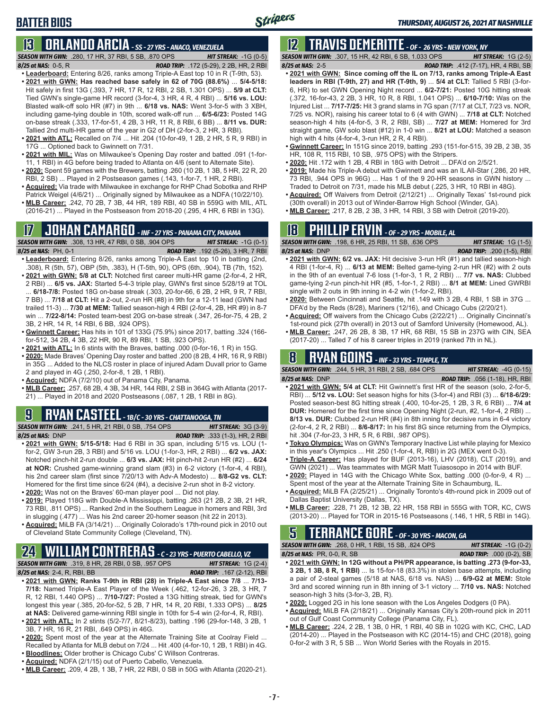### **BATTER BIOS**

### **13 ORLANDO ARCIA** *- SS - 27 YRS - ANACO, VENEZUELA*

*SEASON WITH GWN:*.280, 17 HR, 37 RBI, 5 SB, .870 OPS *HIT STREAK:* -1G (0-5)

- *8/25 at NAS:*0-5, R *ROAD TRIP:* .172 (5-29), 2 2B, HR, 2 RBI **• Leaderboard:** Entering 8/26, ranks among Triple-A East top 10 in R (T-9th, 53). **• 2021 with GWN: Has reached base safely in 62 of 70G (88.6%)** ... **5/4-5/18:**  Hit safely in first 13G (.393, 7 HR, 17 R, 12 RBI, 2 SB, 1.301 OPS) ... **5/9 at CLT:** Tied GWN's single-game HR record (3-for-4, 3 HR, 4 R, 4 RBI) ... **5/16 vs. LOU:** Blasted walk-off solo HR (#7) in 9th ... **6/18 vs. NAS:** Went 3-for-5 with 3 XBH, including game-tying double in 10th, scored walk-off run ... **6/5-6/23:** Posted 14G on-base streak (.333, 17-for-51, 4 2B, 3 HR, 11 R, 8 RBI, 6 BB) ... **8/11 vs. DUR:** Tallied 2nd multi-HR game of the year in G2 of DH (2-for-3, 2 HR, 3 RBI).
- **• 2021 with ATL:** Recalled on 7/4 ... Hit .204 (10-for-49, 1 2B, 2 HR, 5 R, 9 RBI) in 17G ... Optioned back to Gwinnett on 7/31.
- **• 2021 with MIL:** Was on Milwaukee's Opening Day roster and batted .091 (1-for-11, 1 RBI) in 4G before being traded to Atlanta on 4/6 (sent to Alternate Site).
- **• 2020:** Spent 59 games with the Brewers, batting .260 (10 2B, 1 3B, 5 HR, 22 R, 20 RBI, 2 SB) ... Played in 2 Postseason games (.143, 1-for-7, 1 HR, 2 RBI).
- **• Acquired:** Via trade with Milwaukee in exchange for RHP Chad Sobotka and RHP Patrick Weigel (4/6/21) ... Originally signed by Milwaukee as a NDFA (10/22/10).
- **• MLB Career:** .242, 70 2B, 7 3B, 44 HR, 189 RBI, 40 SB in 559G with MIL, ATL (2016-21) ... Played in the Postseason from 2018-20 (.295, 4 HR, 6 RBI in 13G).

## **17 JOHAN CAMARGO** *- INF - 27 YRS - PANAMA CITY, PANAMA*

*SEASON WITH GWN:*.308, 13 HR, 47 RBI, 0 SB, .904 OPS *HIT STREAK:* -1G (0-1) *8/25 at NAS:* PH, 0-1 *ROAD TRIP:* .192 (5-26), 3 HR, 7 RBI

- **• Leaderboard:** Entering 8/26, ranks among Triple-A East top 10 in batting (2nd, .308), R (5th, 57), OBP (5th, .383), H (T-5th, 90), OPS (6th, .904), TB (7th, 152).
- **• 2021 with GWN: 5/8 at CLT:** Notched first career multi-HR game (2-for-4, 2 HR, 2 RBI) ... **6/5 vs. JAX:** Started 5-4-3 triple play, GWN's first since 5/28/19 at TOL ... **6/18-7/8:** Posted 18G on-base streak (.303, 20-for-66, 6 2B, 2 HR, 9 R, 7 RBI, 7 BB) ... **7/18 at CLT:** Hit a 2-out, 2-run HR (#8) in 9th for a 12-11 lead (GWN had trailed 11-3) ... **7/30 at MEM:** Tallied season-high 4 RBI (2-for-4, 2B, HR #9) in 8-7 win ... **7/22-8/14:** Posted team-best 20G on-base streak (.347, 26-for-75, 4 2B, 2 3B, 2 HR, 14 R, 14 RBI, 6 BB, .924 OPS).
- **• Gwinnett Career:** Has hits in 101 of 133G (75.9%) since 2017, batting .324 (166 for-512, 34 2B, 4 3B, 22 HR, 90 R, 89 RBI, 1 SB, .923 OPS).
- **• 2021 with ATL:** In 6 stints with the Braves, batting .000 (0-for-16, 1 R) in 15G.
- **• 2020:** Made Braves' Opening Day roster and batted .200 (8 2B, 4 HR, 16 R, 9 RBI) in 35G ... Added to the NLCS roster in place of injured Adam Duvall prior to Game 2 and played in 4G (.250, 2-for-8, 1 2B, 1 RBI).
- **• Acquired:** NDFA (7/2/10) out of Panama City, Panama.
- **• MLB Career:** .257, 68 2B, 4 3B, 34 HR, 144 RBI, 2 SB in 364G with Atlanta (2017- 21) ... Played in 2018 and 2020 Postseasons (.087, 1 2B, 1 RBI in 8G).

## **9 RYAN CASTEEL** *- 1B/C - 30 YRS - CHATTANOOGA, TN*

*SEASON WITH GWN:*.241, 5 HR, 21 RBI, 0 SB, .754 OPS *HIT STREAK:* 3G (3-9)

- *8/25 at NAS:*DNP *ROAD TRIP:* .333 (1-3), HR, 2 RBI **• 2021 with GWN: 5/15-5/18:** Had 6 RBI in 3G span, including 5/15 vs. LOU (1 for-2, GW 3-run 2B, 3 RBI) and 5/16 vs. LOU (1-for-3, HR, 2 RBI) ... **6/2 vs. JAX:** Notched pinch-hit 2-run double ... **6/3 vs. JAX:** Hit pinch-hit 2-run HR (#2) ... **6/24 at NOR:** Crushed game-winning grand slam (#3) in 6-2 victory (1-for-4, 4 RBI), his 2nd career slam (first since 7/20/13 with Adv-A Modesto) ... **8/8-G2 vs. CLT:** Homered for the first time since 6/24 (#4), a decisive 2-run shot in 8-2 victory.
- **• 2020:** Was not on the Braves' 60-man player pool ... Did not play.
- **• 2019:** Played 118G with Double-A Mississippi, batting .263 (21 2B, 2 3B, 21 HR, 73 RBI, .811 OPS) ... Ranked 2nd in the Southern League in homers and RBI, 3rd in slugging (.477) ... Was his 2nd career 20-homer season (hit 22 in 2013).
- **• Acquired:** MiLB FA (3/14/21) ... Originally Colorado's 17th-round pick in 2010 out of Cleveland State Community College (Cleveland, TN).

## **24 WILLIAM CONTRERAS** *- C - 23 YRS - PUERTO CABELLO, VZ*

*SEASON WITH GWN:*.319, 8 HR, 28 RBI, 0 SB, .957 OPS *HIT STREAK:* 1G (2-4) *8/25 at NAS:* 2-4, R, RBI, BB *ROAD TRIP:* .167 (2-12), RBI

- **• 2021 with GWN: Ranks T-9th in RBI (28) in Triple-A East since 7/8** ... **7/13- 7/18:** Named Triple-A East Player of the Week (.462, 12-for-26, 3 2B, 3 HR, 7 R, 12 RBI, 1.440 OPS) ... **7/10-7/27:** Posted a 13G hitting streak, tied for GWN's longest this year (.385, 20-for-52, 5 2B, 7 HR, 14 R, 20 RBI, 1.333 OPS) ... **8/25 at NAS:** Delivered game-winning RBI single in 10th for 5-4 win (2-for-4, R, RBI).
- **• 2021 with ATL:** In 2 stints (5/2-7/7, 8/21-8/23), batting .196 (29-for-148, 3 2B, 1 3B, 7 HR, 16 R, 21 RBI, .649 OPS) in 46G.
- **• 2020:** Spent most of the year at the Alternate Training Site at Coolray Field ... Recalled by Atlanta for MLB debut on 7/24 ... Hit .400 (4-for-10, 1 2B, 1 RBI) in 4G.
- **• Bloodlines:** Older brother is Chicago Cubs' C Willson Contreras.
- **• Acquired:** NDFA (2/1/15) out of Puerto Cabello, Venezuela.
- **• MLB Career:** .209, 4 2B, 1 3B, 7 HR, 22 RBI, 0 SB in 50G with Atlanta (2020-21).

## **12 TRAVIS DEMERITTE** *- OF - 26 YRS - NEW YORK, NY*

*SEASON WITH GWN:*.307, 15 HR, 42 RBI, 6 SB, 1.033 OPS *HIT STREAK:* 1G (2-5) *8/25 at NAS:*2-5 *ROAD TRIP:* .412 (7-17), HR, 4 RBI, SB

- **• 2021 with GWN: Since coming off the IL on 7/13, ranks among Triple-A East leaders in RBI (T-9th, 27) and HR (T-9th, 9)** ... **5/4 at CLT:** Tallied 5 RBI (3-for-6, HR) to set GWN Opening Night record ... **6/2-7/21:** Posted 10G hitting streak (.372, 16-for-43, 2 2B, 3 HR, 10 R, 8 RBI, 1.041 OPS) ... **6/10-7/10:** Was on the Injured List ... **7/17-7/25:** Hit 3 grand slams in 7G span (7/17 at CLT, 7/23 vs. NOR, 7/25 vs. NOR), raising his career total to 6 (4 with GWN) ... **7/18 at CLT:** Notched season-high 4 hits (4-for-5, 3 R, 2 RBI, SB) ... **7/27 at MEM:** Homered for 3rd straight game, GW solo blast (#12) in 1-0 win ... **8/21 at LOU:** Matched a season high with 4 hits (4-for-4, 3-run HR, 2 R, 4 RBI).
- **• Gwinnett Career:** In 151G since 2019, batting .293 (151-for-515, 39 2B, 2 3B, 35 HR, 108 R, 115 RBI, 10 SB, .975 OPS) with the Stripers.
- **• 2020:** Hit .172 with 1 2B, 4 RBI in 18G with Detroit ... DFA'd on 2/5/21.
- **• 2019:** Made his Triple-A debut with Gwinnett and was an IL All-Star (.286, 20 HR, 73 RBI, .944 OPS in 96G) ... Has 1 of the 9 20-HR seasons in GWN history ... Traded to Detroit on 7/31, made his MLB debut (.225, 3 HR, 10 RBI in 48G).
- **• Acquired:** Off Waivers from Detroit (2/12/21) ... Originally Texas' 1st-round pick (30th overall) in 2013 out of Winder-Barrow High School (Winder, GA).
- **• MLB Career:** .217, 8 2B, 2 3B, 3 HR, 14 RBI, 3 SB with Detroit (2019-20).

## **18 PHILLIP ERVIN** *- OF - 29 YRS - MOBILE, AL*

*SEASON WITH GWN:*.198, 6 HR, 25 RBI, 11 SB, .636 OPS *HIT STREAK:* 1G (1-5) *8/25 at NAS:*DNP *ROAD TRIP:* .200 (1-5), RBI

- **• 2021 with GWN: 6/2 vs. JAX:** Hit decisive 3-run HR (#1) and tallied season-high 4 RBI (1-for-4, R) ... **6/13 at MEM:** Belted game-tying 2-run HR (#2) with 2 outs in the 9th of an eventual 7-6 loss (1-for-3, 1 R, 2 RBI) ... **7/7 vs. NAS:** Clubbed game-tying 2-run pinch-hit HR (#5, 1-for-1, 2 RBI) ... **8/1 at MEM:** Lined GWRBI single with 2 outs in 9th inning in 4-2 win (1-for-2, RBI).
- **• 2020:** Between Cincinnati and Seattle, hit .149 with 3 2B, 4 RBI, 1 SB in 37G ... DFA'd by the Reds (8/28), Mariners (12/16), and Chicago Cubs (2/20/21).
- **• Acquired:** Off waivers from the Chicago Cubs (2/22/21) ... Originally Cincinnati's 1st-round pick (27th overall) in 2013 out of Samford University (Homewood, AL).
- **• MLB Career:** .247, 26 2B, 8 3B, 17 HR, 68 RBI, 15 SB in 237G with CIN, SEA (2017-20) ... Talled 7 of his 8 career triples in 2019 (ranked 7th in NL).

### **8 RYAN GOINS** *- INF - 33 YRS - TEMPLE, TX*

*SEASON WITH GWN:*.244, 5 HR, 31 RBI, 2 SB, .684 OPS *HIT STREAK:* -4G (0-15)

- *8/25 at NAS:*DNP *ROAD TRIP:* .056 (1-18), HR, RBI **• 2021 with GWN: 5/4 at CLT:** Hit Gwinnett's first HR of the season (solo, 2-for-5, RBI) ... **5/12 vs. LOU:** Set season highs for hits (3-for-4) and RBI (3) ... **6/18-6/29:** Posted season-best 8G hitting streak (.400, 10-for-25, 1 2B, 3 R, 6 RBI) ... **7/4 at DUR:** Homered for the first time since Opening Night (2-run, #2, 1-for-4, 2 RBI) ... **8/13 vs. DUR:** Clubbed 2-run HR (#4) in 8th inning for decisive runs in 6-4 victory (2-for-4, 2 R, 2 RBI) ... **8/6-8/17:** In his first 8G since returning from the Olympics, hit .304 (7-for-23, 3 HR, 5 R, 6 RBI, .987 OPS).
- **• Tokyo Olympics:** Was on GWN's Temporary Inactive List while playing for Mexico in this year's Olympics ... Hit .250 (1-for-4, R, RBI) in 2G (MEX went 0-3).
- **• Triple-A Career:** Has played for BUF (2013-16), LHV (2018), CLT (2019), and GWN (2021) ... Was teammates with MGR Matt Tuiasosopo in 2014 with BUF.
- **• 2020:** Played in 14G with the Chicago White Sox, batting .000 (0-for-9, 4 R) ... Spent most of the year at the Alternate Training Site in Schaumburg, IL.
- **• Acquired:** MiLB FA (2/25/21) ... Originally Toronto's 4th-round pick in 2009 out of Dallas Baptist University (Dallas, TX).
- **• MLB Career:** .228, 71 2B, 12 3B, 22 HR, 158 RBI in 555G with TOR, KC, CWS (2013-20) ... Played for TOR in 2015-16 Postseasons (.146, 1 HR, 5 RBI in 14G).

#### **5 TERRANCE GORE** *- OF - 30 YRS - MACON, GA SEASON WITH GWN:*.268, 0 HR, 1 RBI, 15 SB, .824 OPS *HIT STREAK:* -1G (0-2)

*8/25 at NAS:*PR, 0-0, R, SB *ROAD TRIP:* .000 (0-2), SB

- **• 2021 with GWN: In 12G without a PH/PR appearance, is batting .273 (9-for-33, 3 2B, 1 3B, 8 R, 1 RBI)** ... Is 15-for-18 (83.3%) in stolen base attempts, including
- a pair of 2-steal games (5/18 at NAS, 6/18 vs. NAS) ... **6/9-G2 at MEM:** Stole 3rd and scored winning run in 8th inning of 3-1 victory ... **7/10 vs. NAS:** Notched season-high 3 hits (3-for-3, 2B, R).
- **• 2020:** Logged 2G in his lone season with the Los Angeles Dodgers (0 PA).
- **• Acquired:** MiLB FA (2/18/21) ... Originally Kansas City's 20th-round pick in 2011 out of Gulf Coast Community College (Panama City, FL).
- **• MLB Career:** .224, 2 2B, 1 3B, 0 HR, 1 RBI, 40 SB in 102G with KC, CHC, LAD (2014-20) ... Played in the Postseason with KC (2014-15) and CHC (2018), going 0-for-2 with 3 R, 5 SB ... Won World Series with the Royals in 2015.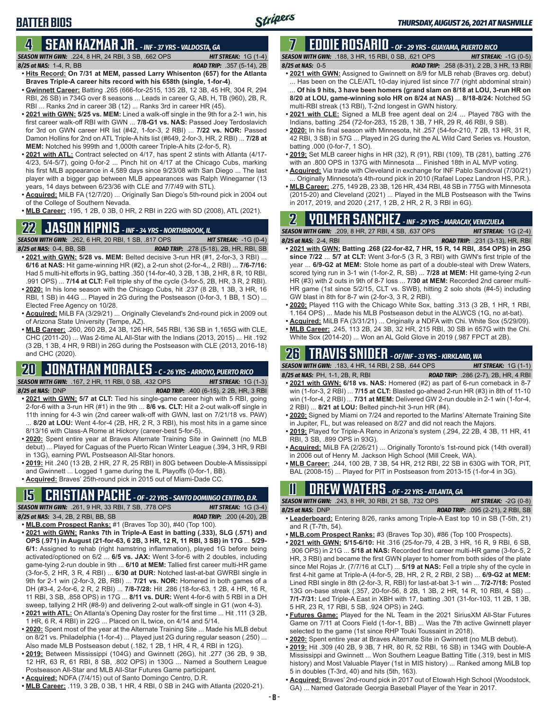# **BATTER BIOS**

### **4 SEAN KAZMAR JR.** *- INF - 37 YRS - VALDOSTA, GA*

*SEASON WITH GWN:*.224, 8 HR, 24 RBI, 3 SB, .662 OPS *HIT STREAK:* 1G (1-4) *8/25 at NAS:*1-4, R, BB *ROAD TRIP:* .357 (5-14), 2B

- **• Hits Record: On 7/31 at MEM, passed Larry Whisenton (657) for the Atlanta Braves Triple-A career hits record with his 658th (single, 1-for-4)**. **• Gwinnett Career:** Batting .265 (666-for-2515, 135 2B, 12 3B, 45 HR, 304 R, 294
- RBI, 26 SB) in 734G over 8 seasons ... Leads in career G, AB, H, TB (960), 2B, R, RBI ... Ranks 2nd in career 3B (12) ... Ranks 3rd in career HR (45).
- **• 2021 with GWN: 5/25 vs. MEM:** Lined a walk-off single in the 9th for a 2-1 win, his first career walk-off RBI with GWN ... **7/8-G1 vs. NAS:** Passed Joey Terdoslavich for 3rd on GWN career HR list (#42, 1-for-3, 2 RBI) ... **7/22 vs. NOR:** Passed Damon Hollins for 2nd on ATL Triple-A hits list (#649, 2-for-3, HR, 2 RBI) ... **7/28 at MEM:** Notched his 999th and 1,000th career Triple-A hits (2-for-5, R).
- **• 2021 with ATL:** Contract selected on 4/17, has spent 2 stints with Atlanta (4/17- 4/23, 5/4-5/7), going 0-for-2 ... Pinch hit on 4/17 at the Chicago Cubs, marking his first MLB appearance in 4,589 days since 9/23/08 with San Diego ... The last player with a bigger gap between MLB appearances was Ralph Winegarner (13 years, 14 days between 6/23/36 with CLE and 7/7/49 with STL).
- **• Acquired:** MiLB FA (12/7/20) ... Originally San Diego's 5th-round pick in 2004 out of the College of Southern Nevada.
- **• MLB Career:** .195, 1 2B, 0 3B, 0 HR, 2 RBI in 22G with SD (2008), ATL (2021).

## **22 JASON KIPNIS** *- INF - 34 YRS - NORTHBROOK, IL*

*SEASON WITH GWN:*.262, 6 HR, 20 RBI, 1 SB, .817 OPS *HIT STREAK:* -1G (0-4)

- *8/25 at NAS:*0-4, BB, SB *ROAD TRIP:* .278 (5-18), 2B, HR, RBI, SB **• 2021 with GWN: 5/28 vs. MEM:** Belted decisive 3-run HR (#1, 2-for-3, 3 RBI) ... **6/16 at NAS:** Hit game-winning HR (#2), a 2-run shot (2-for-4,, 2 RBI) ... **7/6-7/16:** Had 5 multi-hit efforts in 9G, batting .350 (14-for-40, 3 2B, 1 3B, 2 HR, 8 R, 10 RBI, .991 OPS) ... **7/14 at CLT:** Fell triple shy of the cycle (3-for-5, 2B, HR, 3 R, 2 RBI).
- **• 2020:** In his lone season with the Chicago Cubs, hit .237 (8 2B, 1 3B, 3 HR, 16 RBI, 1 SB) in 44G ... Played in 2G during the Postseason (0-for-3, 1 BB, 1 SO) ... Elected Free Agency on 10/28.
- **• Acquired:** MiLB FA (3/29/21) ... Originally Cleveland's 2nd-round pick in 2009 out of Arizona State University (Tempe, AZ).
- **• MLB Career:** .260, 260 2B, 24 3B, 126 HR, 545 RBI, 136 SB in 1,165G with CLE, CHC (2011-20) ... Was 2-time AL All-Star with the Indians (2013, 2015) ... Hit .192 (3 2B, 1 3B, 4 HR, 9 RBI) in 26G during the Postseason with CLE (2013, 2016-18) and CHC (2020).

#### **20 JONATHAN MORALES** *- C - 26 YRS - ARROYO, PUERTO RICO SEASON WITH GWN:*.167, 2 HR, 11 RBI, 0 SB, .432 OPS *HIT STREAK:* 1G (1-3)

- *8/25 at NAS:*DNP *ROAD TRIP:* .400 (6-15), 2 2B, HR, 3 RBI **• 2021 with GWN: 5/7 at CLT:** Tied his single-game career high with 5 RBI, going 2-for-6 with a 3-run HR (#1) in the 9th ... **8/6 vs. CLT:** Hit a 2-out walk-off single in
- 11th inning for 4-3 win (2nd career walk-off with GWN, last on 7/21/18 vs. PAW) ... **8/20 at LOU:** Went 4-for-4 (2B, HR, 2 R, 3 RBI), his most hits in a game since 8/13/16 with Class-A Rome at Hickory (career-best 5-for-5).
- **• 2020:** Spent entire year at Braves Alternate Training Site in Gwinnett (no MLB debut) ... Played for Caguas of the Puerto Rican Winter League (.394, 3 HR, 9 RBI in 13G), earning PWL Postseason All-Star honors.
- **• 2019:** Hit .240 (13 2B, 2 HR, 27 R, 25 RBI) in 80G between Double-A Mississippi and Gwinnett ... Logged 1 game during the IL Playoffs (0-for-1, BB).
- **• Acquired:** Braves' 25th-round pick in 2015 out of Miami-Dade CC.

## **15 CRISTIAN PACHE** *- OF - 22 YRS - SANTO DOMINGO CENTRO, D.R.*

*SEASON WITH GWN:*.261, 9 HR, 33 RBI, 7 SB, .778 OPS *HIT STREAK:* 1G (3-4)

- *8/25 at NAS:* 3-4, 2B, 2 RBI, BB, SB *ROAD TRIP:* .200 (4-20), 2B
- **• MLB.com Prospect Ranks:** #1 (Braves Top 30), #40 (Top 100). **• 2021 with GWN: Ranks 7th in Triple-A East in batting (.333), SLG (.571) and OPS (.971) in August (21-for-63, 6 2B, 3 HR, 12 R, 11 RBI, 3 SB) in 17G** ... **5/29- 6/1:** Assigned to rehab (right hamstring inflammation), played 1G before being activated/optioned on 6/2 ... **6/5 vs. JAX:** Went 3-for-6 with 2 doubles, including game-tying 2-run double in 9th ... **6/10 at MEM:** Tallied first career multi-HR game (3-for-5, 2 HR, 3 R, 4 RBI) ... **6/30 at DUR:** Notched last-at-bat GWRBI single in 9th for 2-1 win (2-for-3, 2B, RBI) ... **7/21 vs. NOR:** Homered in both games of a DH (#3-4, 2-for-6, 2 R, 2 RBI) ... **7/8-7/28:** Hit .286 (18-for-63, 1 2B, 4 HR, 16 R, 11 RBI, 3 SB, .858 OPS) in 17G ... **8/11 vs. DUR:** Went 4-for-6 with 5 RBI in a DH sweep, tallying 2 HR (#8-9) and delivering 2-out walk-off single in G1 (won 4-3).
- **• 2021 with ATL:** On Atlanta's Opening Day roster for the first time ... Hit .111 (3 2B, 1 HR, 6 R, 4 RBI) in 22G ... Placed on IL twice, on 4/14 and 5/14.
- **• 2020:** Spent most of the year at the Alternate Training Site ... Made his MLB debut on 8/21 vs. Philadelphia (1-for-4) ... Played just 2G during regular season (.250) ... Also made MLB Postseason debut (.182, 1 2B, 1 HR, 4 R, 4 RBI in 12G).
- **• 2019:** Between Mississippi (104G) and Gwinnett (26G), hit .277 (36 2B, 9 3B, 12 HR, 63 R, 61 RBI, 8 SB, .802 OPS) in 130G ... Named a Southern League Postseason All-Star and MLB All-Star Futures Game participant.
- **• Acquired:** NDFA (7/4/15) out of Santo Domingo Centro, D.R.
- **• MLB Career:** .119, 3 2B, 0 3B, 1 HR, 4 RBI, 0 SB in 24G with Atlanta (2020-21).

#### **7 EDDIE ROSARIO** *- OF - 29 YRS - GUAYAMA, PUERTO RICO SEASON WITH GWN:*.188, 3 HR, 15 RBI, 0 SB, .621 OPS *HIT STREAK:* -1G (0-5)

*8/25 at NAS:* 0-5 *ROAD TRIP:* .258 (8-31), 2 2B, 3 HR, 13 RBI

- **• 2021 with GWN:** Assigned to Gwinnett on 8/9 for MLB rehab (Braves org. debut) ... Has been on the CLE/ATL 10-day injured list since 7/7 (right abdominal strain) ... **Of his 9 hits, 3 have been homers (grand slam on 8/18 at LOU, 3-run HR on 8/20 at LOU, game-winning solo HR on 8/24 at NAS)** ... **8/18-8/24:** Notched 5G multi-RBI streak (13 RBI), T-2nd longest in GWN history.
- **• 2021 with CLE:** Signed a MLB free agent deal on 2/4 ... Played 78G with the Indians, batting .254 (72-for-283, 15 2B, 1 3B, 7 HR, 29 R, 46 RBI, 9 SB).
- **• 2020:** In his final season with Minnesota, hit .257 (54-for-210, 7 2B, 13 HR, 31 R, 42 RBI, 3 SB) in 57G ... Played in 2G during the AL Wild Card Series vs. Houston, batting .000 (0-for-7, 1 SO).
- **• 2019:** Set MLB career highs in HR (32), R (91), RBI (109), TB (281), batting .276 with an .800 OPS in 137G with Minnesota ... Finished 18th in AL MVP voting.
- **• Acquired:** Via trade with Cleveland in exchange for INF Pablo Sandoval (7/30/21) Originally Minnesota's 4th-round pick in 2010 (Rafael Lopez Landron HS, P.R.).
- **• MLB Career:** .275, 149 2B, 23 3B, 126 HR, 434 RBI, 48 SB in 775G with Minnesota (2015-20) and Cleveland (2021) ... Played in the MLB Postseason with the Twins in 2017, 2019, and 2020 (.217, 1 2B, 2 HR, 2 R, 3 RBI in 6G).

## **2 YOLMER SANCHEZ** *- INF - 29 YRS - MARACAY, VENEZUELA*

*SEASON WITH GWN:*.209, 8 HR, 27 RBI, 4 SB, .637 OPS *HIT STREAK:* 1G (2-4) *8/25 at NAS:*2-4, RBI *ROAD TRIP:* .231 (3-13), HR, RBI

- **• 2021 with GWN: Batting .268 (22-for-82, 7 HR, 15 R, 14 RBI, .854 OPS) in 25G since 7/22** ... **5/7 at CLT:** Went 3-for-5 (3 R, 3 RBI) with GWN's first triple of the year ... **6/9-G2 at MEM:** Stole home as part of a double-steal with Drew Waters, scored tying run in 3-1 win (1-for-2, R, SB) ... **7/28 at MEM:** Hit game-tying 2-run HR (#3) with 2 outs in 9th of 8-7 loss ... **7/30 at MEM:** Recorded 2nd career multi-HR game (1st since 5/2/15, CLT vs. SWB), hitting 2 solo shots (#4-5) including GW blast in 8th for 8-7 win (2-for-3, 3 R, 2 RBI).
- **• 2020:** Played 11G with the Chicago White Sox, batting .313 (3 2B, 1 HR, 1 RBI, 1.164 OPS) ... Made his MLB Postseason debut in the ALWCS (1G, no at-bat).
- **• Acquired:** MiLB FA (3/31/21) ... Originally a NDFA with Chi. White Sox (5/29/09). **• MLB Career:** .245, 113 2B, 24 3B, 32 HR, 215 RBI, 30 SB in 657G with the Chi.
- White Sox (2014-20) ... Won an AL Gold Glove in 2019 (.987 FPCT at 2B).

## **26 TRAVIS SNIDER** *- OF/INF - 33 YRS - KIRKLAND, WA*

*SEASON WITH GWN:*.183, 4 HR, 14 RBI, 2 SB, .644 OPS *HIT STREAK:* 1G (1-1)

- *8/25 at NAS:* PH, 1-1, 2B, R, RBI *ROAD TRIP:* .286 (2-7), 2B, HR, 4 RBI **• 2021 with GWN: 6/18 vs. NAS:** Homered (#2) as part of 6-run comeback in 8-7 win (1-for-3, 2 RBI) ... **7/15 at CLT:** Blasted go-ahead 2-run HR (#3) in 8th of 11-10 win (1-for-4, 2 RBI) ... **7/31 at MEM:** Delivered GW 2-run double in 2-1 win (1-for-4, 2 RBI) ... **8/21 at LOU:** Belted pinch-hit 3-run HR (#4).
- **• 2020:** Signed by Miami on 7/24 and reported to the Marlins' Alternate Training Site in Jupiter, FL, but was released on 8/27 and did not reach the Majors.
- **• 2019:** Played for Triple-A Reno in Arizona's system (.294, 22 2B, 4 3B, 11 HR, 41 RBI, 3 SB, .899 OPS in 93G).
- **• Acquired:** MiLB FA (2/26/21) ... Originally Toronto's 1st-round pick (14th overall) in 2006 out of Henry M. Jackson High School (Mill Creek, WA).
- **• MLB Career:** .244, 100 2B, 7 3B, 54 HR, 212 RBI, 22 SB in 630G with TOR, PIT, BAL (2008-15) ... Played for PIT in Postseason from 2013-15 (1-for-4 in 3G).

## **11 Drew WATERS** *- OF - 22 YRS - ATLANTA, GA*

*SEASON WITH GWN:*.243, 8 HR, 30 RBI, 21 SB, .732 OPS *HIT STREAK:* -2G (0-8) *8/25 at NAS:*DNP *ROAD TRIP:* .095 (2-21), 2 RBI, SB

- **• Leaderboard:** Entering 8/26, ranks among Triple-A East top 10 in SB (T-5th, 21) and R  $(T-7th, 54)$ .
- **• MLB.com Prospect Ranks:** #3 (Braves Top 30), #86 (Top 100 Prospects).
- **• 2021 with GWN: 5/15-6/10:** Hit .316 (25-for-79, 4 2B, 3 HR, 16 R, 9 RBI, 6 SB, .906 OPS) in 21G ... **5/18 at NAS:** Recorded first career multi-HR game (3-for-5, 2 HR, 3 RBI) and became the first GWN player to homer from both sides of the plate since Mel Rojas Jr. (7/7/16 at CLT) ... **5/19 at NAS:** Fell a triple shy of the cycle in first 4-hit game at Triple-A (4-for-5, 2B, HR, 2 R, 2 RBI, 2 SB) ... **6/9-G2 at MEM:** Lined RBI single in 8th (2-for-3, R, RBI) for last-at-bat 3-1 win ... **7/2-7/18:** Posted 13G on-base streak (.357, 20-for-56, 8 2B, 1 3B, 2 HR, 14 R, 10 RBI, 4 SB) ... **7/1-7/31:** Led Triple-A East in XBH with 17, batting .301 (31-for-103, 11 2B, 1 3B, 5 HR, 23 R, 17 RBI, 5 SB, .924 OPS) in 24G.
- **• Futures Game:** Played for the NL Team in the 2021 SiriusXM All-Star Futures Game on 7/11 at Coors Field (1-for-1, BB) ... Was the 7th active Gwinnett player selected to the game (1st since RHP Touki Toussaint in 2018).
- **• 2020:** Spent entire year at Braves Alternate Site in Gwinnett (no MLB debut).
- **• 2019:** Hit .309 (40 2B, 9 3B, 7 HR, 80 R, 52 RBI, 16 SB) in 134G with Double-A Mississippi and Gwinnett ... Won Southern League Batting Title (.319, best in MIS history) and Most Valuable Player (1st in MIS history) ... Ranked among MiLB top 5 in doubles (T-3rd, 40) and hits (5th, 163).
- **• Acquired:** Braves' 2nd-round pick in 2017 out of Etowah High School (Woodstock, GA) ... Named Gatorade Georgia Baseball Player of the Year in 2017.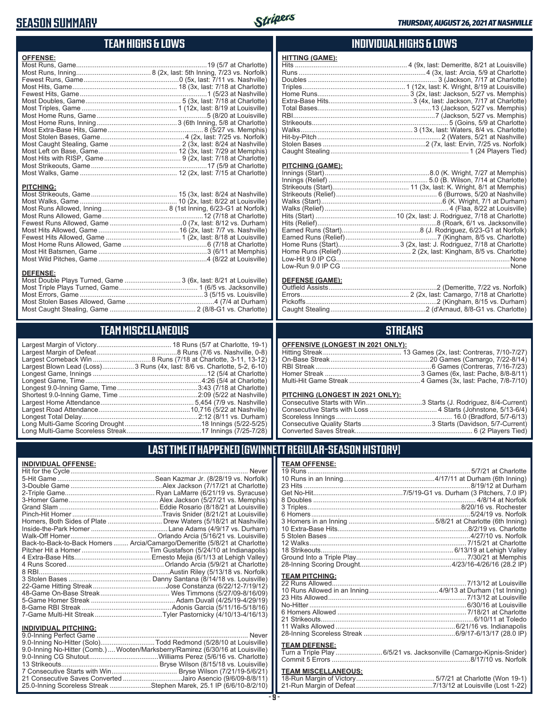### **SEASON SUMMARY**



### **TEAM HIGHS & LOWS**

| <b>OFFENSE:</b>                                                  |  |
|------------------------------------------------------------------|--|
|                                                                  |  |
|                                                                  |  |
|                                                                  |  |
|                                                                  |  |
|                                                                  |  |
|                                                                  |  |
|                                                                  |  |
|                                                                  |  |
|                                                                  |  |
|                                                                  |  |
|                                                                  |  |
|                                                                  |  |
|                                                                  |  |
|                                                                  |  |
|                                                                  |  |
|                                                                  |  |
|                                                                  |  |
|                                                                  |  |
| <b>PITCHING:</b>                                                 |  |
|                                                                  |  |
|                                                                  |  |
|                                                                  |  |
|                                                                  |  |
|                                                                  |  |
|                                                                  |  |
|                                                                  |  |
|                                                                  |  |
|                                                                  |  |
|                                                                  |  |
|                                                                  |  |
| <b>DEFENSE:</b>                                                  |  |
| Most Double Plays Turned, Game  3 (6x, last: 8/21 at Louisville) |  |
|                                                                  |  |

## **TEAM MISCELLANEOUS**

Most Stolen Bases Allowed, Game ...............................................4 (7/4 at Durham) Most Caught Stealing, Game .............................................. 2 (8/8-G1 vs. Charlotte)

| Largest Blown Lead (Loss) 3 Runs (4x, last: 8/6 vs. Charlotte, 5-2, 6-10) |
|---------------------------------------------------------------------------|
|                                                                           |
|                                                                           |
|                                                                           |
|                                                                           |
|                                                                           |
|                                                                           |
|                                                                           |
|                                                                           |
|                                                                           |

#### **INDIVIDUAL HIGHS & LOWS**

| <b>HITTING (GAME):</b> |  |
|------------------------|--|
|                        |  |
|                        |  |
|                        |  |
|                        |  |
|                        |  |
|                        |  |
|                        |  |
|                        |  |
|                        |  |
|                        |  |
|                        |  |
|                        |  |
|                        |  |

#### **PITCHING (GAME):**

#### **DEFENSE (GAME):**

### **STREAKS**

#### **OFFENSIVE (LONGEST IN 2021 ONLY):**

#### **PITCHING (LONGEST IN 2021 ONLY):**

| Consecutive Starts with Win3 Starts (J. Rodriguez, 8/4-Current) |
|-----------------------------------------------------------------|
|                                                                 |
|                                                                 |
|                                                                 |
|                                                                 |

### **LAST TIME IT HAPPENED (GWINNETT REGULAR-SEASON HISTORY)**

| INDIVIDUAL OFFENSE:         |                                                                            |
|-----------------------------|----------------------------------------------------------------------------|
|                             |                                                                            |
|                             |                                                                            |
|                             |                                                                            |
|                             |                                                                            |
|                             |                                                                            |
|                             |                                                                            |
|                             |                                                                            |
|                             | Homers, Both Sides of Plate  Drew Waters (5/18/21 at Nashville)            |
|                             |                                                                            |
|                             |                                                                            |
|                             | Back-to-Back-to-Back Homers  Arcia/Camargo/Demeritte (5/8/21 at Charlotte) |
|                             |                                                                            |
|                             |                                                                            |
|                             |                                                                            |
|                             |                                                                            |
|                             |                                                                            |
|                             |                                                                            |
|                             |                                                                            |
|                             |                                                                            |
|                             |                                                                            |
|                             |                                                                            |
| <b>INDIVIDUAL PITCHING:</b> |                                                                            |
| 0.0 Inning Perfect Came     | Nover                                                                      |

| 9.0-Inning No-Hitter (Comb.) Wooten/Marksberry/Ramirez (6/30/16 at Louisville) |  |
|--------------------------------------------------------------------------------|--|
|                                                                                |  |
|                                                                                |  |
|                                                                                |  |
| 21 Consecutive Saves Converted Jairo Asencio (9/6/09-8/8/11)                   |  |
| 25.0-Inning Scoreless Streak Stephen Marek, 25.1 IP (6/6/10-8/2/10)            |  |

#### **TEAM OFFENSE:**

| <b>TEAM PITCHING:</b> |  |
|-----------------------|--|
|                       |  |
|                       |  |
|                       |  |
|                       |  |
|                       |  |
|                       |  |
|                       |  |
|                       |  |
|                       |  |
| <b>TEAM DEFENSE:</b>  |  |

#### **TEAM DEFENSE:** Turn a Triple Play .........................6/5/21 vs. Jacksonville (Camargo-Kipnis-Snider) Commit 5 Errors ..........................................................................8/17/10 vs. Norfolk

### **TEAM MISCELLANEOUS:**<br>18-Run Margin of Victory.....